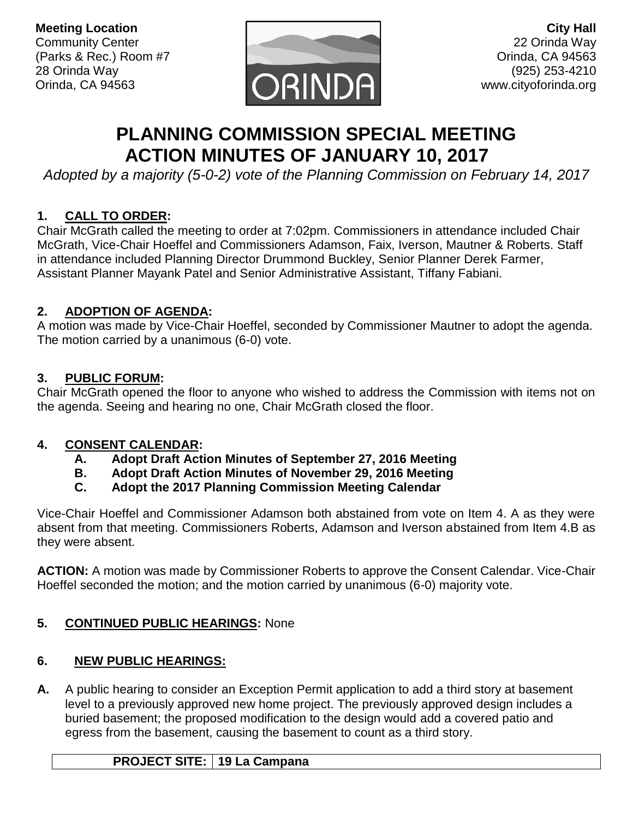**Meeting Location** Community Center (Parks & Rec.) Room #7 28 Orinda Way Orinda, CA 94563



**City Hall** 22 Orinda Way Orinda, CA 94563 (925) 253-4210 www.cityoforinda.org

# **PLANNING COMMISSION SPECIAL MEETING ACTION MINUTES OF JANUARY 10, 2017**

*Adopted by a majority (5-0-2) vote of the Planning Commission on February 14, 2017*

# **1. CALL TO ORDER:**

Chair McGrath called the meeting to order at 7:02pm. Commissioners in attendance included Chair McGrath, Vice-Chair Hoeffel and Commissioners Adamson, Faix, Iverson, Mautner & Roberts. Staff in attendance included Planning Director Drummond Buckley, Senior Planner Derek Farmer, Assistant Planner Mayank Patel and Senior Administrative Assistant, Tiffany Fabiani.

# **2. ADOPTION OF AGENDA:**

A motion was made by Vice-Chair Hoeffel, seconded by Commissioner Mautner to adopt the agenda. The motion carried by a unanimous (6-0) vote.

# **3. PUBLIC FORUM:**

Chair McGrath opened the floor to anyone who wished to address the Commission with items not on the agenda. Seeing and hearing no one, Chair McGrath closed the floor.

# **4. CONSENT CALENDAR:**

- **A. Adopt Draft Action Minutes of September 27, 2016 Meeting**
- **B. Adopt Draft Action Minutes of November 29, 2016 Meeting**
- **C. Adopt the 2017 Planning Commission Meeting Calendar**

Vice-Chair Hoeffel and Commissioner Adamson both abstained from vote on Item 4. A as they were absent from that meeting. Commissioners Roberts, Adamson and Iverson abstained from Item 4.B as they were absent.

**ACTION:** A motion was made by Commissioner Roberts to approve the Consent Calendar. Vice-Chair Hoeffel seconded the motion; and the motion carried by unanimous (6-0) majority vote.

# **5. CONTINUED PUBLIC HEARINGS:** None

# **6. NEW PUBLIC HEARINGS:**

**A.** A public hearing to consider an Exception Permit application to add a third story at basement level to a previously approved new home project. The previously approved design includes a buried basement; the proposed modification to the design would add a covered patio and egress from the basement, causing the basement to count as a third story.

# **PROJECT SITE: 19 La Campana**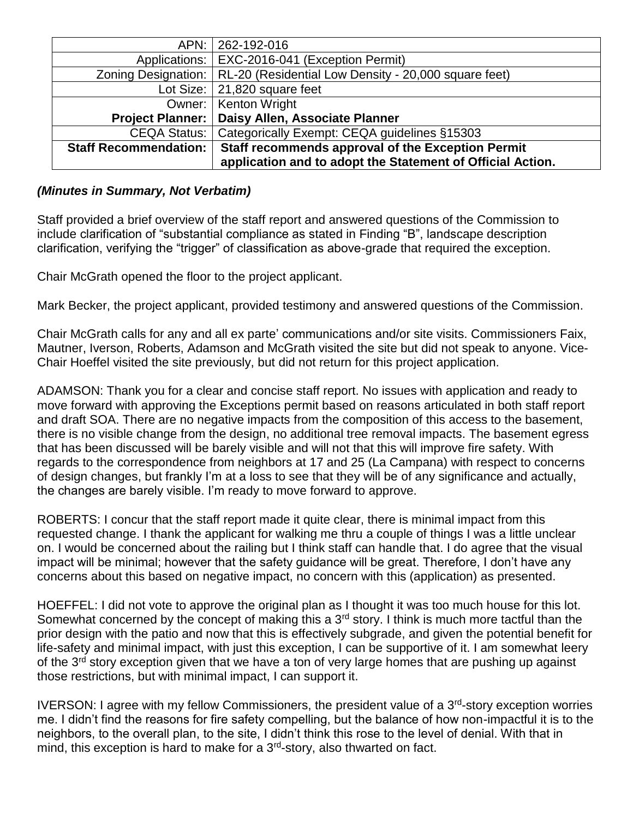| APN:                         | 262-192-016                                                                |
|------------------------------|----------------------------------------------------------------------------|
| Applications:                | <b>EXC-2016-041 (Exception Permit)</b>                                     |
|                              | Zoning Designation:   RL-20 (Residential Low Density - 20,000 square feet) |
|                              | Lot Size: $ 21,820$ square feet                                            |
|                              | Owner:   Kenton Wright                                                     |
| <b>Project Planner:</b>      | Daisy Allen, Associate Planner                                             |
| CEQA Status:                 | Categorically Exempt: CEQA guidelines §15303                               |
| <b>Staff Recommendation:</b> | Staff recommends approval of the Exception Permit                          |
|                              | application and to adopt the Statement of Official Action.                 |

#### *(Minutes in Summary, Not Verbatim)*

Staff provided a brief overview of the staff report and answered questions of the Commission to include clarification of "substantial compliance as stated in Finding "B", landscape description clarification, verifying the "trigger" of classification as above-grade that required the exception.

Chair McGrath opened the floor to the project applicant.

Mark Becker, the project applicant, provided testimony and answered questions of the Commission.

Chair McGrath calls for any and all ex parte' communications and/or site visits. Commissioners Faix, Mautner, Iverson, Roberts, Adamson and McGrath visited the site but did not speak to anyone. Vice-Chair Hoeffel visited the site previously, but did not return for this project application.

ADAMSON: Thank you for a clear and concise staff report. No issues with application and ready to move forward with approving the Exceptions permit based on reasons articulated in both staff report and draft SOA. There are no negative impacts from the composition of this access to the basement, there is no visible change from the design, no additional tree removal impacts. The basement egress that has been discussed will be barely visible and will not that this will improve fire safety. With regards to the correspondence from neighbors at 17 and 25 (La Campana) with respect to concerns of design changes, but frankly I'm at a loss to see that they will be of any significance and actually, the changes are barely visible. I'm ready to move forward to approve.

ROBERTS: I concur that the staff report made it quite clear, there is minimal impact from this requested change. I thank the applicant for walking me thru a couple of things I was a little unclear on. I would be concerned about the railing but I think staff can handle that. I do agree that the visual impact will be minimal; however that the safety guidance will be great. Therefore, I don't have any concerns about this based on negative impact, no concern with this (application) as presented.

HOEFFEL: I did not vote to approve the original plan as I thought it was too much house for this lot. Somewhat concerned by the concept of making this a 3<sup>rd</sup> story. I think is much more tactful than the prior design with the patio and now that this is effectively subgrade, and given the potential benefit for life-safety and minimal impact, with just this exception, I can be supportive of it. I am somewhat leery of the 3<sup>rd</sup> story exception given that we have a ton of very large homes that are pushing up against those restrictions, but with minimal impact, I can support it.

IVERSON: I agree with my fellow Commissioners, the president value of a 3<sup>rd</sup>-story exception worries me. I didn't find the reasons for fire safety compelling, but the balance of how non-impactful it is to the neighbors, to the overall plan, to the site, I didn't think this rose to the level of denial. With that in mind, this exception is hard to make for a 3<sup>rd</sup>-story, also thwarted on fact.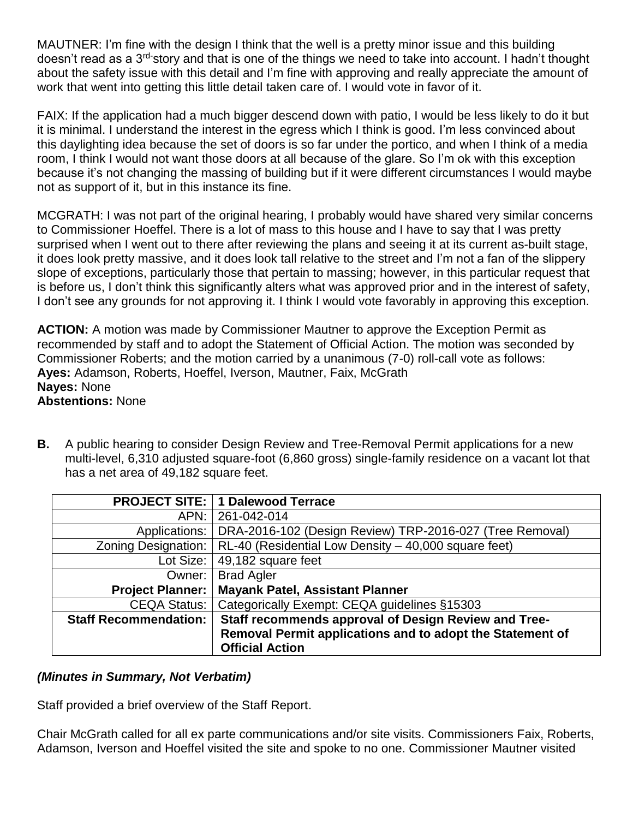MAUTNER: I'm fine with the design I think that the well is a pretty minor issue and this building doesn't read as a 3<sup>rd-</sup>story and that is one of the things we need to take into account. I hadn't thought about the safety issue with this detail and I'm fine with approving and really appreciate the amount of work that went into getting this little detail taken care of. I would vote in favor of it.

FAIX: If the application had a much bigger descend down with patio, I would be less likely to do it but it is minimal. I understand the interest in the egress which I think is good. I'm less convinced about this daylighting idea because the set of doors is so far under the portico, and when I think of a media room, I think I would not want those doors at all because of the glare. So I'm ok with this exception because it's not changing the massing of building but if it were different circumstances I would maybe not as support of it, but in this instance its fine.

MCGRATH: I was not part of the original hearing, I probably would have shared very similar concerns to Commissioner Hoeffel. There is a lot of mass to this house and I have to say that I was pretty surprised when I went out to there after reviewing the plans and seeing it at its current as-built stage, it does look pretty massive, and it does look tall relative to the street and I'm not a fan of the slippery slope of exceptions, particularly those that pertain to massing; however, in this particular request that is before us, I don't think this significantly alters what was approved prior and in the interest of safety, I don't see any grounds for not approving it. I think I would vote favorably in approving this exception.

**ACTION:** A motion was made by Commissioner Mautner to approve the Exception Permit as recommended by staff and to adopt the Statement of Official Action. The motion was seconded by Commissioner Roberts; and the motion carried by a unanimous (7-0) roll-call vote as follows: **Ayes:** Adamson, Roberts, Hoeffel, Iverson, Mautner, Faix, McGrath **Nayes:** None **Abstentions:** None

**B.** A public hearing to consider Design Review and Tree-Removal Permit applications for a new multi-level, 6,310 adjusted square-foot (6,860 gross) single-family residence on a vacant lot that has a net area of 49,182 square feet.

|                              | <b>PROJECT SITE: 1 Dalewood Terrace</b>                   |
|------------------------------|-----------------------------------------------------------|
| APN: I                       | 261-042-014                                               |
| Applications:                | DRA-2016-102 (Design Review) TRP-2016-027 (Tree Removal)  |
| Zoning Designation:          | RL-40 (Residential Low Density - 40,000 square feet)      |
| Lot Size:                    | 49,182 square feet                                        |
|                              | Owner:   Brad Agler                                       |
| <b>Project Planner:</b>      | <b>Mayank Patel, Assistant Planner</b>                    |
| CEQA Status:                 | Categorically Exempt: CEQA guidelines §15303              |
| <b>Staff Recommendation:</b> | Staff recommends approval of Design Review and Tree-      |
|                              | Removal Permit applications and to adopt the Statement of |
|                              | <b>Official Action</b>                                    |

#### *(Minutes in Summary, Not Verbatim)*

Staff provided a brief overview of the Staff Report.

Chair McGrath called for all ex parte communications and/or site visits. Commissioners Faix, Roberts, Adamson, Iverson and Hoeffel visited the site and spoke to no one. Commissioner Mautner visited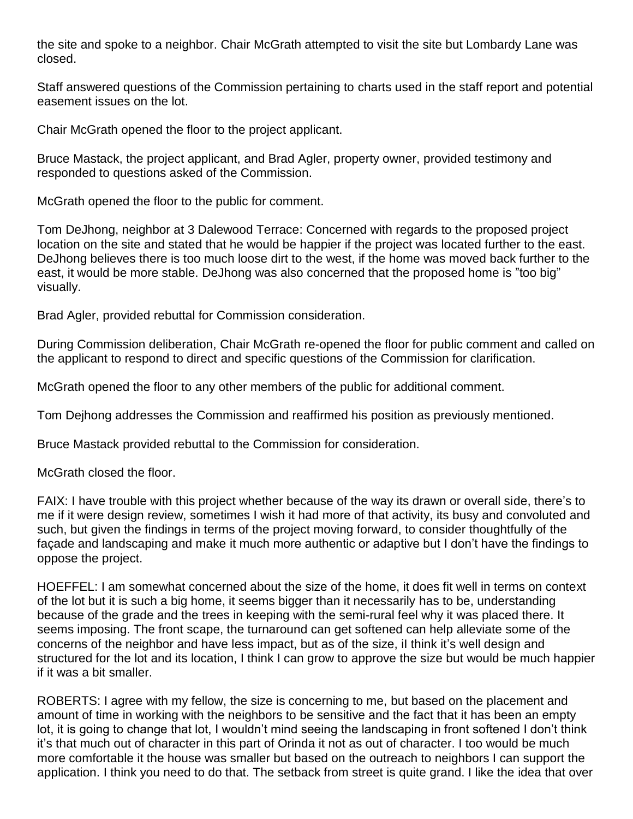the site and spoke to a neighbor. Chair McGrath attempted to visit the site but Lombardy Lane was closed.

Staff answered questions of the Commission pertaining to charts used in the staff report and potential easement issues on the lot.

Chair McGrath opened the floor to the project applicant.

Bruce Mastack, the project applicant, and Brad Agler, property owner, provided testimony and responded to questions asked of the Commission.

McGrath opened the floor to the public for comment.

Tom DeJhong, neighbor at 3 Dalewood Terrace: Concerned with regards to the proposed project location on the site and stated that he would be happier if the project was located further to the east. DeJhong believes there is too much loose dirt to the west, if the home was moved back further to the east, it would be more stable. DeJhong was also concerned that the proposed home is "too big" visually.

Brad Agler, provided rebuttal for Commission consideration.

During Commission deliberation, Chair McGrath re-opened the floor for public comment and called on the applicant to respond to direct and specific questions of the Commission for clarification.

McGrath opened the floor to any other members of the public for additional comment.

Tom Dejhong addresses the Commission and reaffirmed his position as previously mentioned.

Bruce Mastack provided rebuttal to the Commission for consideration.

McGrath closed the floor.

FAIX: I have trouble with this project whether because of the way its drawn or overall side, there's to me if it were design review, sometimes I wish it had more of that activity, its busy and convoluted and such, but given the findings in terms of the project moving forward, to consider thoughtfully of the façade and landscaping and make it much more authentic or adaptive but I don't have the findings to oppose the project.

HOEFFEL: I am somewhat concerned about the size of the home, it does fit well in terms on context of the lot but it is such a big home, it seems bigger than it necessarily has to be, understanding because of the grade and the trees in keeping with the semi-rural feel why it was placed there. It seems imposing. The front scape, the turnaround can get softened can help alleviate some of the concerns of the neighbor and have less impact, but as of the size, iI think it's well design and structured for the lot and its location, I think I can grow to approve the size but would be much happier if it was a bit smaller.

ROBERTS: I agree with my fellow, the size is concerning to me, but based on the placement and amount of time in working with the neighbors to be sensitive and the fact that it has been an empty lot, it is going to change that lot, I wouldn't mind seeing the landscaping in front softened I don't think it's that much out of character in this part of Orinda it not as out of character. I too would be much more comfortable it the house was smaller but based on the outreach to neighbors I can support the application. I think you need to do that. The setback from street is quite grand. I like the idea that over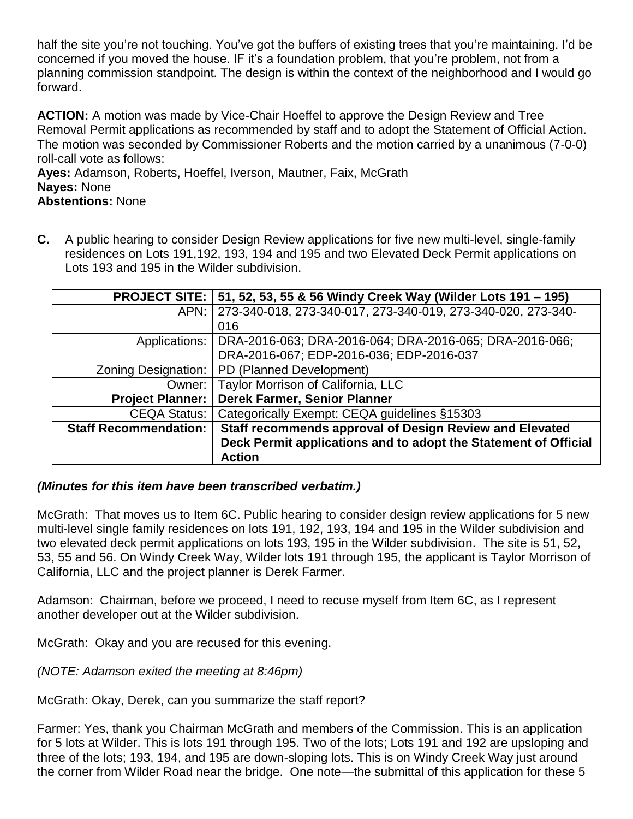half the site you're not touching. You've got the buffers of existing trees that you're maintaining. I'd be concerned if you moved the house. IF it's a foundation problem, that you're problem, not from a planning commission standpoint. The design is within the context of the neighborhood and I would go forward.

**ACTION:** A motion was made by Vice-Chair Hoeffel to approve the Design Review and Tree Removal Permit applications as recommended by staff and to adopt the Statement of Official Action. The motion was seconded by Commissioner Roberts and the motion carried by a unanimous (7-0-0) roll-call vote as follows:

**Ayes:** Adamson, Roberts, Hoeffel, Iverson, Mautner, Faix, McGrath **Nayes:** None **Abstentions:** None

**C.** A public hearing to consider Design Review applications for five new multi-level, single-family residences on Lots 191,192, 193, 194 and 195 and two Elevated Deck Permit applications on Lots 193 and 195 in the Wilder subdivision.

|                              | PROJECT SITE:   51, 52, 53, 55 & 56 Windy Creek Way (Wilder Lots 191 – 195) |
|------------------------------|-----------------------------------------------------------------------------|
| APN:                         | 273-340-018, 273-340-017, 273-340-019, 273-340-020, 273-340-                |
|                              | 016                                                                         |
| Applications:                | DRA-2016-063; DRA-2016-064; DRA-2016-065; DRA-2016-066;                     |
|                              | DRA-2016-067; EDP-2016-036; EDP-2016-037                                    |
| Zoning Designation:          | PD (Planned Development)                                                    |
| Owner:                       | Taylor Morrison of California, LLC                                          |
| <b>Project Planner:</b>      | Derek Farmer, Senior Planner                                                |
| <b>CEQA Status:</b>          | Categorically Exempt: CEQA guidelines §15303                                |
| <b>Staff Recommendation:</b> | Staff recommends approval of Design Review and Elevated                     |
|                              | Deck Permit applications and to adopt the Statement of Official             |
|                              | <b>Action</b>                                                               |

#### *(Minutes for this item have been transcribed verbatim.)*

McGrath: That moves us to Item 6C. Public hearing to consider design review applications for 5 new multi-level single family residences on lots 191, 192, 193, 194 and 195 in the Wilder subdivision and two elevated deck permit applications on lots 193, 195 in the Wilder subdivision. The site is 51, 52, 53, 55 and 56. On Windy Creek Way, Wilder lots 191 through 195, the applicant is Taylor Morrison of California, LLC and the project planner is Derek Farmer.

Adamson: Chairman, before we proceed, I need to recuse myself from Item 6C, as I represent another developer out at the Wilder subdivision.

McGrath: Okay and you are recused for this evening.

*(NOTE: Adamson exited the meeting at 8:46pm)*

McGrath: Okay, Derek, can you summarize the staff report?

Farmer: Yes, thank you Chairman McGrath and members of the Commission. This is an application for 5 lots at Wilder. This is lots 191 through 195. Two of the lots; Lots 191 and 192 are upsloping and three of the lots; 193, 194, and 195 are down-sloping lots. This is on Windy Creek Way just around the corner from Wilder Road near the bridge. One note—the submittal of this application for these 5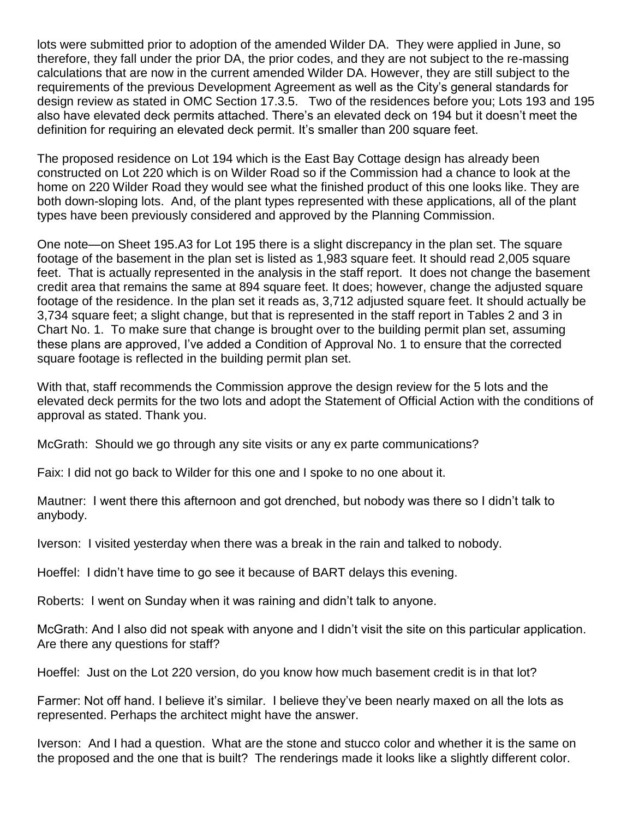lots were submitted prior to adoption of the amended Wilder DA. They were applied in June, so therefore, they fall under the prior DA, the prior codes, and they are not subject to the re-massing calculations that are now in the current amended Wilder DA. However, they are still subject to the requirements of the previous Development Agreement as well as the City's general standards for design review as stated in OMC Section 17.3.5. Two of the residences before you; Lots 193 and 195 also have elevated deck permits attached. There's an elevated deck on 194 but it doesn't meet the definition for requiring an elevated deck permit. It's smaller than 200 square feet.

The proposed residence on Lot 194 which is the East Bay Cottage design has already been constructed on Lot 220 which is on Wilder Road so if the Commission had a chance to look at the home on 220 Wilder Road they would see what the finished product of this one looks like. They are both down-sloping lots. And, of the plant types represented with these applications, all of the plant types have been previously considered and approved by the Planning Commission.

One note—on Sheet 195.A3 for Lot 195 there is a slight discrepancy in the plan set. The square footage of the basement in the plan set is listed as 1,983 square feet. It should read 2,005 square feet. That is actually represented in the analysis in the staff report. It does not change the basement credit area that remains the same at 894 square feet. It does; however, change the adjusted square footage of the residence. In the plan set it reads as, 3,712 adjusted square feet. It should actually be 3,734 square feet; a slight change, but that is represented in the staff report in Tables 2 and 3 in Chart No. 1. To make sure that change is brought over to the building permit plan set, assuming these plans are approved, I've added a Condition of Approval No. 1 to ensure that the corrected square footage is reflected in the building permit plan set.

With that, staff recommends the Commission approve the design review for the 5 lots and the elevated deck permits for the two lots and adopt the Statement of Official Action with the conditions of approval as stated. Thank you.

McGrath: Should we go through any site visits or any ex parte communications?

Faix: I did not go back to Wilder for this one and I spoke to no one about it.

Mautner: I went there this afternoon and got drenched, but nobody was there so I didn't talk to anybody.

Iverson: I visited yesterday when there was a break in the rain and talked to nobody.

Hoeffel: I didn't have time to go see it because of BART delays this evening.

Roberts: I went on Sunday when it was raining and didn't talk to anyone.

McGrath: And I also did not speak with anyone and I didn't visit the site on this particular application. Are there any questions for staff?

Hoeffel: Just on the Lot 220 version, do you know how much basement credit is in that lot?

Farmer: Not off hand. I believe it's similar. I believe they've been nearly maxed on all the lots as represented. Perhaps the architect might have the answer.

Iverson: And I had a question. What are the stone and stucco color and whether it is the same on the proposed and the one that is built? The renderings made it looks like a slightly different color.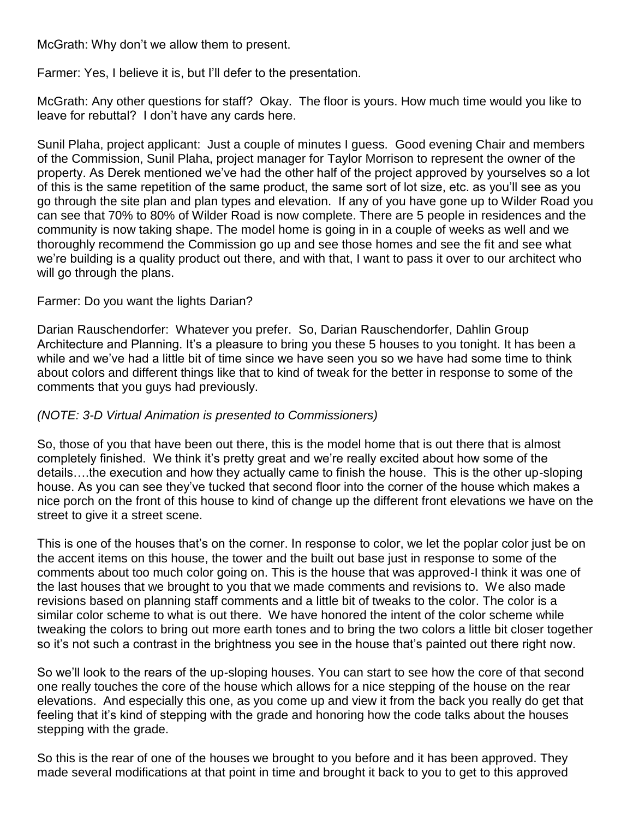McGrath: Why don't we allow them to present.

Farmer: Yes, I believe it is, but I'll defer to the presentation.

McGrath: Any other questions for staff? Okay. The floor is yours. How much time would you like to leave for rebuttal? I don't have any cards here.

Sunil Plaha, project applicant: Just a couple of minutes I guess. Good evening Chair and members of the Commission, Sunil Plaha, project manager for Taylor Morrison to represent the owner of the property. As Derek mentioned we've had the other half of the project approved by yourselves so a lot of this is the same repetition of the same product, the same sort of lot size, etc. as you'll see as you go through the site plan and plan types and elevation. If any of you have gone up to Wilder Road you can see that 70% to 80% of Wilder Road is now complete. There are 5 people in residences and the community is now taking shape. The model home is going in in a couple of weeks as well and we thoroughly recommend the Commission go up and see those homes and see the fit and see what we're building is a quality product out there, and with that, I want to pass it over to our architect who will go through the plans.

#### Farmer: Do you want the lights Darian?

Darian Rauschendorfer: Whatever you prefer. So, Darian Rauschendorfer, Dahlin Group Architecture and Planning. It's a pleasure to bring you these 5 houses to you tonight. It has been a while and we've had a little bit of time since we have seen you so we have had some time to think about colors and different things like that to kind of tweak for the better in response to some of the comments that you guys had previously.

#### *(NOTE: 3-D Virtual Animation is presented to Commissioners)*

So, those of you that have been out there, this is the model home that is out there that is almost completely finished. We think it's pretty great and we're really excited about how some of the details….the execution and how they actually came to finish the house. This is the other up-sloping house. As you can see they've tucked that second floor into the corner of the house which makes a nice porch on the front of this house to kind of change up the different front elevations we have on the street to give it a street scene.

This is one of the houses that's on the corner. In response to color, we let the poplar color just be on the accent items on this house, the tower and the built out base just in response to some of the comments about too much color going on. This is the house that was approved-I think it was one of the last houses that we brought to you that we made comments and revisions to. We also made revisions based on planning staff comments and a little bit of tweaks to the color. The color is a similar color scheme to what is out there. We have honored the intent of the color scheme while tweaking the colors to bring out more earth tones and to bring the two colors a little bit closer together so it's not such a contrast in the brightness you see in the house that's painted out there right now.

So we'll look to the rears of the up-sloping houses. You can start to see how the core of that second one really touches the core of the house which allows for a nice stepping of the house on the rear elevations. And especially this one, as you come up and view it from the back you really do get that feeling that it's kind of stepping with the grade and honoring how the code talks about the houses stepping with the grade.

So this is the rear of one of the houses we brought to you before and it has been approved. They made several modifications at that point in time and brought it back to you to get to this approved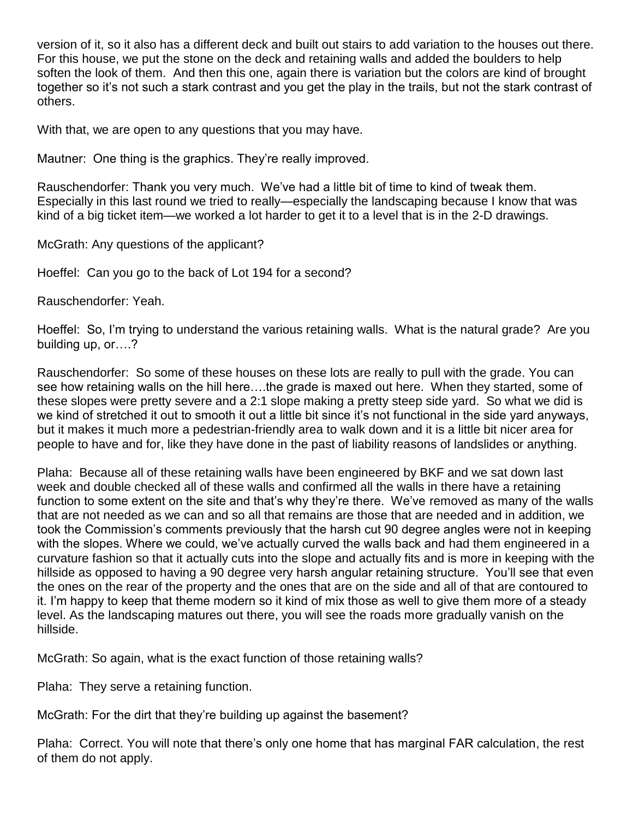version of it, so it also has a different deck and built out stairs to add variation to the houses out there. For this house, we put the stone on the deck and retaining walls and added the boulders to help soften the look of them. And then this one, again there is variation but the colors are kind of brought together so it's not such a stark contrast and you get the play in the trails, but not the stark contrast of others.

With that, we are open to any questions that you may have.

Mautner: One thing is the graphics. They're really improved.

Rauschendorfer: Thank you very much. We've had a little bit of time to kind of tweak them. Especially in this last round we tried to really—especially the landscaping because I know that was kind of a big ticket item—we worked a lot harder to get it to a level that is in the 2-D drawings.

McGrath: Any questions of the applicant?

Hoeffel: Can you go to the back of Lot 194 for a second?

Rauschendorfer: Yeah.

Hoeffel: So, I'm trying to understand the various retaining walls. What is the natural grade? Are you building up, or….?

Rauschendorfer: So some of these houses on these lots are really to pull with the grade. You can see how retaining walls on the hill here….the grade is maxed out here. When they started, some of these slopes were pretty severe and a 2:1 slope making a pretty steep side yard. So what we did is we kind of stretched it out to smooth it out a little bit since it's not functional in the side yard anyways, but it makes it much more a pedestrian-friendly area to walk down and it is a little bit nicer area for people to have and for, like they have done in the past of liability reasons of landslides or anything.

Plaha: Because all of these retaining walls have been engineered by BKF and we sat down last week and double checked all of these walls and confirmed all the walls in there have a retaining function to some extent on the site and that's why they're there. We've removed as many of the walls that are not needed as we can and so all that remains are those that are needed and in addition, we took the Commission's comments previously that the harsh cut 90 degree angles were not in keeping with the slopes. Where we could, we've actually curved the walls back and had them engineered in a curvature fashion so that it actually cuts into the slope and actually fits and is more in keeping with the hillside as opposed to having a 90 degree very harsh angular retaining structure. You'll see that even the ones on the rear of the property and the ones that are on the side and all of that are contoured to it. I'm happy to keep that theme modern so it kind of mix those as well to give them more of a steady level. As the landscaping matures out there, you will see the roads more gradually vanish on the hillside.

McGrath: So again, what is the exact function of those retaining walls?

Plaha: They serve a retaining function.

McGrath: For the dirt that they're building up against the basement?

Plaha: Correct. You will note that there's only one home that has marginal FAR calculation, the rest of them do not apply.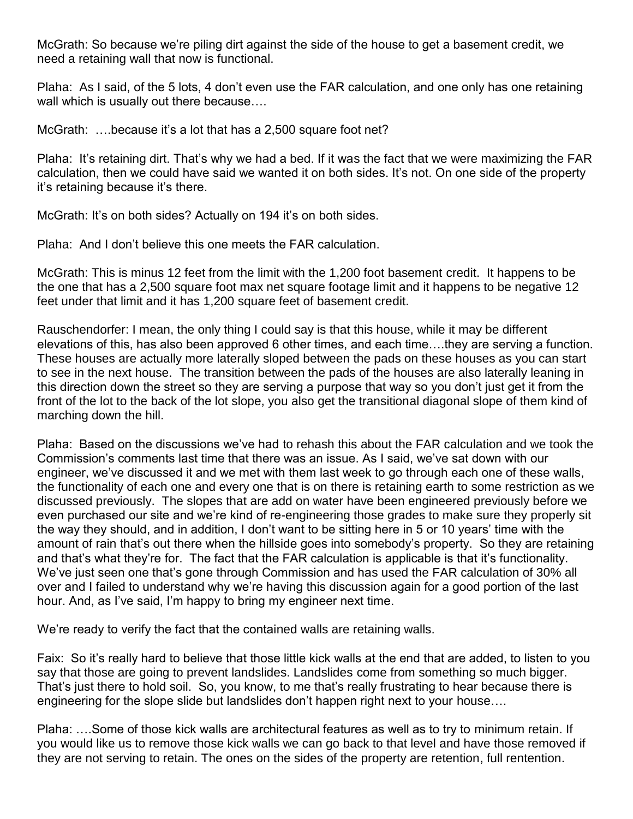McGrath: So because we're piling dirt against the side of the house to get a basement credit, we need a retaining wall that now is functional.

Plaha: As I said, of the 5 lots, 4 don't even use the FAR calculation, and one only has one retaining wall which is usually out there because….

McGrath: ...because it's a lot that has a 2,500 square foot net?

Plaha: It's retaining dirt. That's why we had a bed. If it was the fact that we were maximizing the FAR calculation, then we could have said we wanted it on both sides. It's not. On one side of the property it's retaining because it's there.

McGrath: It's on both sides? Actually on 194 it's on both sides.

Plaha: And I don't believe this one meets the FAR calculation.

McGrath: This is minus 12 feet from the limit with the 1,200 foot basement credit. It happens to be the one that has a 2,500 square foot max net square footage limit and it happens to be negative 12 feet under that limit and it has 1,200 square feet of basement credit.

Rauschendorfer: I mean, the only thing I could say is that this house, while it may be different elevations of this, has also been approved 6 other times, and each time….they are serving a function. These houses are actually more laterally sloped between the pads on these houses as you can start to see in the next house. The transition between the pads of the houses are also laterally leaning in this direction down the street so they are serving a purpose that way so you don't just get it from the front of the lot to the back of the lot slope, you also get the transitional diagonal slope of them kind of marching down the hill.

Plaha: Based on the discussions we've had to rehash this about the FAR calculation and we took the Commission's comments last time that there was an issue. As I said, we've sat down with our engineer, we've discussed it and we met with them last week to go through each one of these walls, the functionality of each one and every one that is on there is retaining earth to some restriction as we discussed previously. The slopes that are add on water have been engineered previously before we even purchased our site and we're kind of re-engineering those grades to make sure they properly sit the way they should, and in addition, I don't want to be sitting here in 5 or 10 years' time with the amount of rain that's out there when the hillside goes into somebody's property. So they are retaining and that's what they're for. The fact that the FAR calculation is applicable is that it's functionality. We've just seen one that's gone through Commission and has used the FAR calculation of 30% all over and I failed to understand why we're having this discussion again for a good portion of the last hour. And, as I've said, I'm happy to bring my engineer next time.

We're ready to verify the fact that the contained walls are retaining walls.

Faix: So it's really hard to believe that those little kick walls at the end that are added, to listen to you say that those are going to prevent landslides. Landslides come from something so much bigger. That's just there to hold soil. So, you know, to me that's really frustrating to hear because there is engineering for the slope slide but landslides don't happen right next to your house….

Plaha: ….Some of those kick walls are architectural features as well as to try to minimum retain. If you would like us to remove those kick walls we can go back to that level and have those removed if they are not serving to retain. The ones on the sides of the property are retention, full rentention.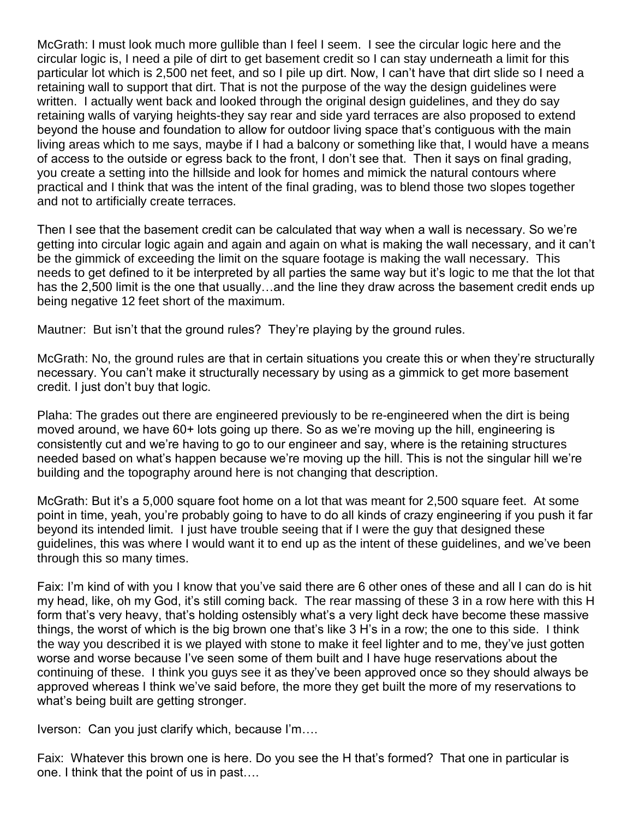McGrath: I must look much more gullible than I feel I seem. I see the circular logic here and the circular logic is, I need a pile of dirt to get basement credit so I can stay underneath a limit for this particular lot which is 2,500 net feet, and so I pile up dirt. Now, I can't have that dirt slide so I need a retaining wall to support that dirt. That is not the purpose of the way the design guidelines were written. I actually went back and looked through the original design guidelines, and they do say retaining walls of varying heights-they say rear and side yard terraces are also proposed to extend beyond the house and foundation to allow for outdoor living space that's contiguous with the main living areas which to me says, maybe if I had a balcony or something like that, I would have a means of access to the outside or egress back to the front, I don't see that. Then it says on final grading, you create a setting into the hillside and look for homes and mimick the natural contours where practical and I think that was the intent of the final grading, was to blend those two slopes together and not to artificially create terraces.

Then I see that the basement credit can be calculated that way when a wall is necessary. So we're getting into circular logic again and again and again on what is making the wall necessary, and it can't be the gimmick of exceeding the limit on the square footage is making the wall necessary. This needs to get defined to it be interpreted by all parties the same way but it's logic to me that the lot that has the 2,500 limit is the one that usually...and the line they draw across the basement credit ends up being negative 12 feet short of the maximum.

Mautner: But isn't that the ground rules? They're playing by the ground rules.

McGrath: No, the ground rules are that in certain situations you create this or when they're structurally necessary. You can't make it structurally necessary by using as a gimmick to get more basement credit. I just don't buy that logic.

Plaha: The grades out there are engineered previously to be re-engineered when the dirt is being moved around, we have 60+ lots going up there. So as we're moving up the hill, engineering is consistently cut and we're having to go to our engineer and say, where is the retaining structures needed based on what's happen because we're moving up the hill. This is not the singular hill we're building and the topography around here is not changing that description.

McGrath: But it's a 5,000 square foot home on a lot that was meant for 2,500 square feet. At some point in time, yeah, you're probably going to have to do all kinds of crazy engineering if you push it far beyond its intended limit. I just have trouble seeing that if I were the guy that designed these guidelines, this was where I would want it to end up as the intent of these guidelines, and we've been through this so many times.

Faix: I'm kind of with you I know that you've said there are 6 other ones of these and all I can do is hit my head, like, oh my God, it's still coming back. The rear massing of these 3 in a row here with this H form that's very heavy, that's holding ostensibly what's a very light deck have become these massive things, the worst of which is the big brown one that's like 3 H's in a row; the one to this side. I think the way you described it is we played with stone to make it feel lighter and to me, they've just gotten worse and worse because I've seen some of them built and I have huge reservations about the continuing of these. I think you guys see it as they've been approved once so they should always be approved whereas I think we've said before, the more they get built the more of my reservations to what's being built are getting stronger.

Iverson: Can you just clarify which, because I'm….

Faix: Whatever this brown one is here. Do you see the H that's formed? That one in particular is one. I think that the point of us in past….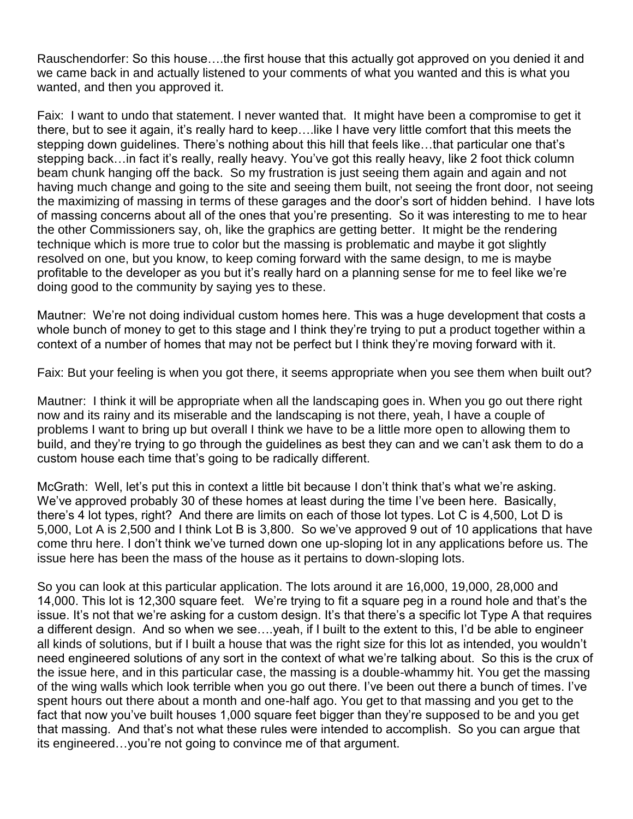Rauschendorfer: So this house….the first house that this actually got approved on you denied it and we came back in and actually listened to your comments of what you wanted and this is what you wanted, and then you approved it.

Faix: I want to undo that statement. I never wanted that. It might have been a compromise to get it there, but to see it again, it's really hard to keep….like I have very little comfort that this meets the stepping down guidelines. There's nothing about this hill that feels like…that particular one that's stepping back…in fact it's really, really heavy. You've got this really heavy, like 2 foot thick column beam chunk hanging off the back. So my frustration is just seeing them again and again and not having much change and going to the site and seeing them built, not seeing the front door, not seeing the maximizing of massing in terms of these garages and the door's sort of hidden behind. I have lots of massing concerns about all of the ones that you're presenting. So it was interesting to me to hear the other Commissioners say, oh, like the graphics are getting better. It might be the rendering technique which is more true to color but the massing is problematic and maybe it got slightly resolved on one, but you know, to keep coming forward with the same design, to me is maybe profitable to the developer as you but it's really hard on a planning sense for me to feel like we're doing good to the community by saying yes to these.

Mautner: We're not doing individual custom homes here. This was a huge development that costs a whole bunch of money to get to this stage and I think they're trying to put a product together within a context of a number of homes that may not be perfect but I think they're moving forward with it.

Faix: But your feeling is when you got there, it seems appropriate when you see them when built out?

Mautner: I think it will be appropriate when all the landscaping goes in. When you go out there right now and its rainy and its miserable and the landscaping is not there, yeah, I have a couple of problems I want to bring up but overall I think we have to be a little more open to allowing them to build, and they're trying to go through the guidelines as best they can and we can't ask them to do a custom house each time that's going to be radically different.

McGrath: Well, let's put this in context a little bit because I don't think that's what we're asking. We've approved probably 30 of these homes at least during the time I've been here. Basically, there's 4 lot types, right? And there are limits on each of those lot types. Lot C is 4,500, Lot D is 5,000, Lot A is 2,500 and I think Lot B is 3,800. So we've approved 9 out of 10 applications that have come thru here. I don't think we've turned down one up-sloping lot in any applications before us. The issue here has been the mass of the house as it pertains to down-sloping lots.

So you can look at this particular application. The lots around it are 16,000, 19,000, 28,000 and 14,000. This lot is 12,300 square feet. We're trying to fit a square peg in a round hole and that's the issue. It's not that we're asking for a custom design. It's that there's a specific lot Type A that requires a different design. And so when we see….yeah, if I built to the extent to this, I'd be able to engineer all kinds of solutions, but if I built a house that was the right size for this lot as intended, you wouldn't need engineered solutions of any sort in the context of what we're talking about. So this is the crux of the issue here, and in this particular case, the massing is a double-whammy hit. You get the massing of the wing walls which look terrible when you go out there. I've been out there a bunch of times. I've spent hours out there about a month and one-half ago. You get to that massing and you get to the fact that now you've built houses 1,000 square feet bigger than they're supposed to be and you get that massing. And that's not what these rules were intended to accomplish. So you can argue that its engineered…you're not going to convince me of that argument.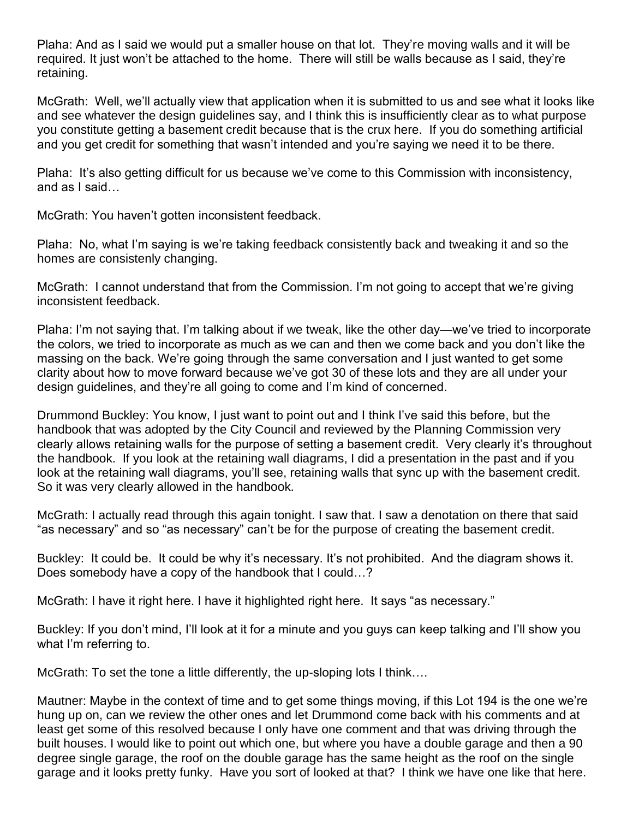Plaha: And as I said we would put a smaller house on that lot. They're moving walls and it will be required. It just won't be attached to the home. There will still be walls because as I said, they're retaining.

McGrath: Well, we'll actually view that application when it is submitted to us and see what it looks like and see whatever the design guidelines say, and I think this is insufficiently clear as to what purpose you constitute getting a basement credit because that is the crux here. If you do something artificial and you get credit for something that wasn't intended and you're saying we need it to be there.

Plaha: It's also getting difficult for us because we've come to this Commission with inconsistency, and as I said…

McGrath: You haven't gotten inconsistent feedback.

Plaha: No, what I'm saying is we're taking feedback consistently back and tweaking it and so the homes are consistenly changing.

McGrath: I cannot understand that from the Commission. I'm not going to accept that we're giving inconsistent feedback.

Plaha: I'm not saying that. I'm talking about if we tweak, like the other day—we've tried to incorporate the colors, we tried to incorporate as much as we can and then we come back and you don't like the massing on the back. We're going through the same conversation and I just wanted to get some clarity about how to move forward because we've got 30 of these lots and they are all under your design guidelines, and they're all going to come and I'm kind of concerned.

Drummond Buckley: You know, I just want to point out and I think I've said this before, but the handbook that was adopted by the City Council and reviewed by the Planning Commission very clearly allows retaining walls for the purpose of setting a basement credit. Very clearly it's throughout the handbook. If you look at the retaining wall diagrams, I did a presentation in the past and if you look at the retaining wall diagrams, you'll see, retaining walls that sync up with the basement credit. So it was very clearly allowed in the handbook.

McGrath: I actually read through this again tonight. I saw that. I saw a denotation on there that said "as necessary" and so "as necessary" can't be for the purpose of creating the basement credit.

Buckley: It could be. It could be why it's necessary. It's not prohibited. And the diagram shows it. Does somebody have a copy of the handbook that I could…?

McGrath: I have it right here. I have it highlighted right here. It says "as necessary."

Buckley: If you don't mind, I'll look at it for a minute and you guys can keep talking and I'll show you what I'm referring to.

McGrath: To set the tone a little differently, the up-sloping lots I think….

Mautner: Maybe in the context of time and to get some things moving, if this Lot 194 is the one we're hung up on, can we review the other ones and let Drummond come back with his comments and at least get some of this resolved because I only have one comment and that was driving through the built houses. I would like to point out which one, but where you have a double garage and then a 90 degree single garage, the roof on the double garage has the same height as the roof on the single garage and it looks pretty funky. Have you sort of looked at that? I think we have one like that here.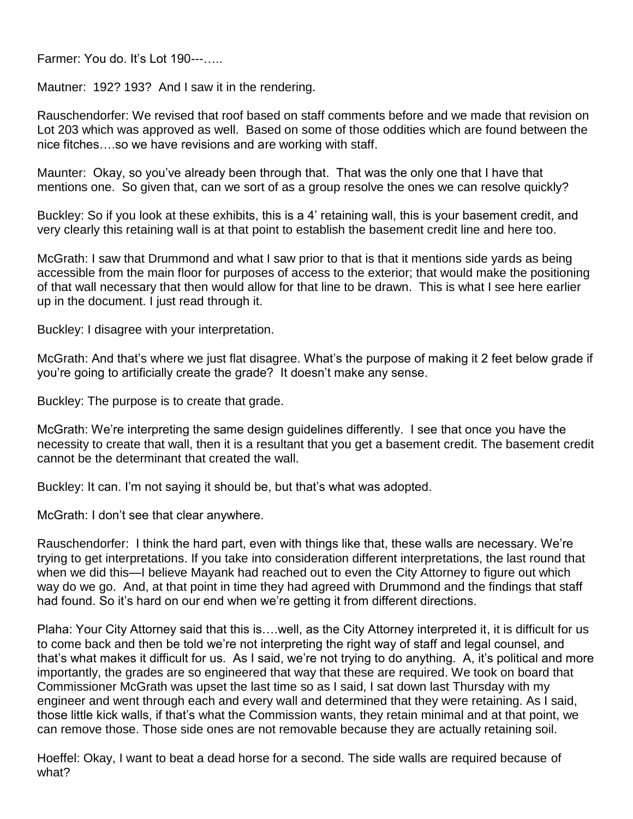Farmer: You do. It's Lot 190---…..

Mautner: 192? 193? And I saw it in the rendering.

Rauschendorfer: We revised that roof based on staff comments before and we made that revision on Lot 203 which was approved as well. Based on some of those oddities which are found between the nice fitches….so we have revisions and are working with staff.

Maunter: Okay, so you've already been through that. That was the only one that I have that mentions one. So given that, can we sort of as a group resolve the ones we can resolve quickly?

Buckley: So if you look at these exhibits, this is a 4' retaining wall, this is your basement credit, and very clearly this retaining wall is at that point to establish the basement credit line and here too.

McGrath: I saw that Drummond and what I saw prior to that is that it mentions side yards as being accessible from the main floor for purposes of access to the exterior; that would make the positioning of that wall necessary that then would allow for that line to be drawn. This is what I see here earlier up in the document. I just read through it.

Buckley: I disagree with your interpretation.

McGrath: And that's where we just flat disagree. What's the purpose of making it 2 feet below grade if you're going to artificially create the grade? It doesn't make any sense.

Buckley: The purpose is to create that grade.

McGrath: We're interpreting the same design guidelines differently. I see that once you have the necessity to create that wall, then it is a resultant that you get a basement credit. The basement credit cannot be the determinant that created the wall.

Buckley: It can. I'm not saying it should be, but that's what was adopted.

McGrath: I don't see that clear anywhere.

Rauschendorfer: I think the hard part, even with things like that, these walls are necessary. We're trying to get interpretations. If you take into consideration different interpretations, the last round that when we did this—I believe Mayank had reached out to even the City Attorney to figure out which way do we go. And, at that point in time they had agreed with Drummond and the findings that staff had found. So it's hard on our end when we're getting it from different directions.

Plaha: Your City Attorney said that this is….well, as the City Attorney interpreted it, it is difficult for us to come back and then be told we're not interpreting the right way of staff and legal counsel, and that's what makes it difficult for us. As I said, we're not trying to do anything. A, it's political and more importantly, the grades are so engineered that way that these are required. We took on board that Commissioner McGrath was upset the last time so as I said, I sat down last Thursday with my engineer and went through each and every wall and determined that they were retaining. As I said, those little kick walls, if that's what the Commission wants, they retain minimal and at that point, we can remove those. Those side ones are not removable because they are actually retaining soil.

Hoeffel: Okay, I want to beat a dead horse for a second. The side walls are required because of what?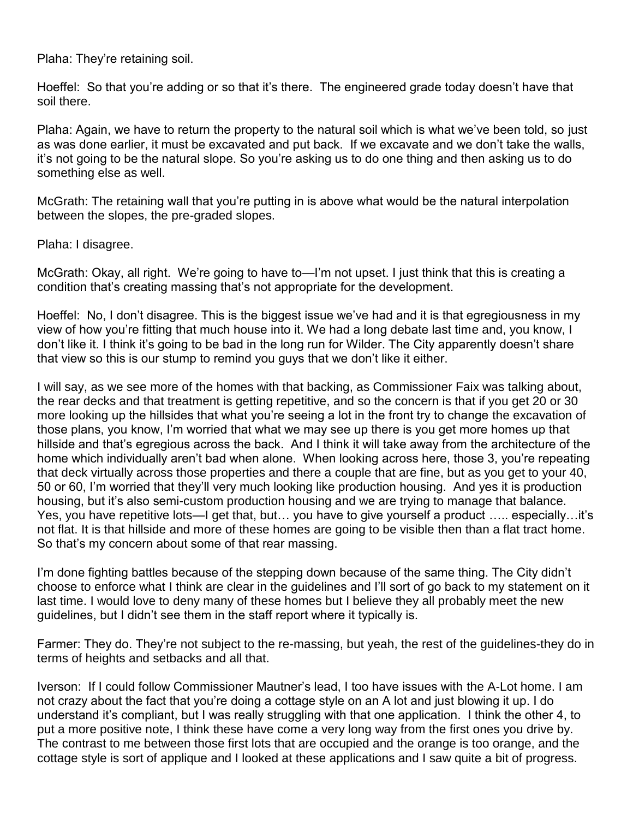Plaha: They're retaining soil.

Hoeffel: So that you're adding or so that it's there. The engineered grade today doesn't have that soil there.

Plaha: Again, we have to return the property to the natural soil which is what we've been told, so just as was done earlier, it must be excavated and put back. If we excavate and we don't take the walls, it's not going to be the natural slope. So you're asking us to do one thing and then asking us to do something else as well.

McGrath: The retaining wall that you're putting in is above what would be the natural interpolation between the slopes, the pre-graded slopes.

Plaha: I disagree.

McGrath: Okay, all right. We're going to have to—I'm not upset. I just think that this is creating a condition that's creating massing that's not appropriate for the development.

Hoeffel: No, I don't disagree. This is the biggest issue we've had and it is that egregiousness in my view of how you're fitting that much house into it. We had a long debate last time and, you know, I don't like it. I think it's going to be bad in the long run for Wilder. The City apparently doesn't share that view so this is our stump to remind you guys that we don't like it either.

I will say, as we see more of the homes with that backing, as Commissioner Faix was talking about, the rear decks and that treatment is getting repetitive, and so the concern is that if you get 20 or 30 more looking up the hillsides that what you're seeing a lot in the front try to change the excavation of those plans, you know, I'm worried that what we may see up there is you get more homes up that hillside and that's egregious across the back. And I think it will take away from the architecture of the home which individually aren't bad when alone. When looking across here, those 3, you're repeating that deck virtually across those properties and there a couple that are fine, but as you get to your 40, 50 or 60, I'm worried that they'll very much looking like production housing. And yes it is production housing, but it's also semi-custom production housing and we are trying to manage that balance. Yes, you have repetitive lots—I get that, but… you have to give yourself a product ….. especially…it's not flat. It is that hillside and more of these homes are going to be visible then than a flat tract home. So that's my concern about some of that rear massing.

I'm done fighting battles because of the stepping down because of the same thing. The City didn't choose to enforce what I think are clear in the guidelines and I'll sort of go back to my statement on it last time. I would love to deny many of these homes but I believe they all probably meet the new guidelines, but I didn't see them in the staff report where it typically is.

Farmer: They do. They're not subject to the re-massing, but yeah, the rest of the guidelines-they do in terms of heights and setbacks and all that.

Iverson: If I could follow Commissioner Mautner's lead, I too have issues with the A-Lot home. I am not crazy about the fact that you're doing a cottage style on an A lot and just blowing it up. I do understand it's compliant, but I was really struggling with that one application. I think the other 4, to put a more positive note, I think these have come a very long way from the first ones you drive by. The contrast to me between those first lots that are occupied and the orange is too orange, and the cottage style is sort of applique and I looked at these applications and I saw quite a bit of progress.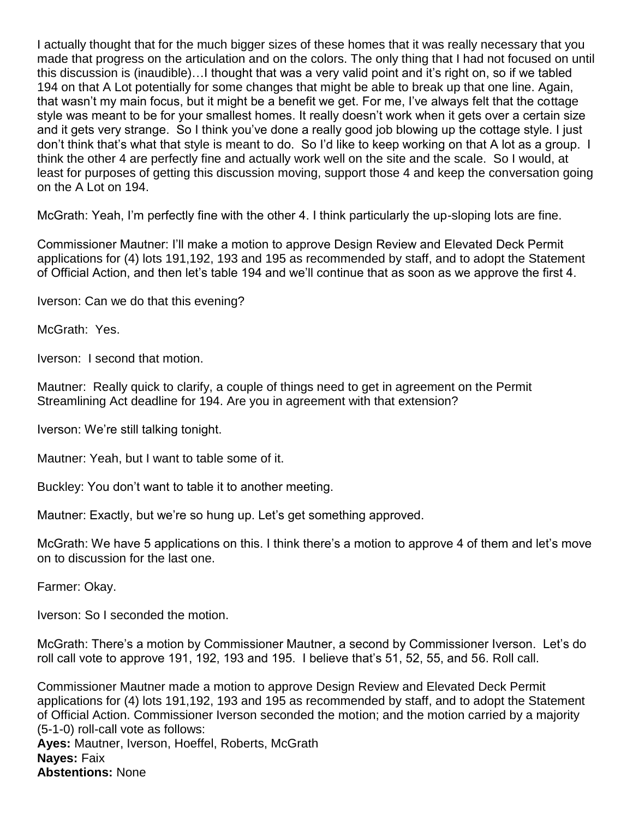I actually thought that for the much bigger sizes of these homes that it was really necessary that you made that progress on the articulation and on the colors. The only thing that I had not focused on until this discussion is (inaudible)…I thought that was a very valid point and it's right on, so if we tabled 194 on that A Lot potentially for some changes that might be able to break up that one line. Again, that wasn't my main focus, but it might be a benefit we get. For me, I've always felt that the cottage style was meant to be for your smallest homes. It really doesn't work when it gets over a certain size and it gets very strange. So I think you've done a really good job blowing up the cottage style. I just don't think that's what that style is meant to do. So I'd like to keep working on that A lot as a group. I think the other 4 are perfectly fine and actually work well on the site and the scale. So I would, at least for purposes of getting this discussion moving, support those 4 and keep the conversation going on the A Lot on 194.

McGrath: Yeah, I'm perfectly fine with the other 4. I think particularly the up-sloping lots are fine.

Commissioner Mautner: I'll make a motion to approve Design Review and Elevated Deck Permit applications for (4) lots 191,192, 193 and 195 as recommended by staff, and to adopt the Statement of Official Action, and then let's table 194 and we'll continue that as soon as we approve the first 4.

Iverson: Can we do that this evening?

McGrath: Yes.

Iverson: I second that motion.

Mautner: Really quick to clarify, a couple of things need to get in agreement on the Permit Streamlining Act deadline for 194. Are you in agreement with that extension?

Iverson: We're still talking tonight.

Mautner: Yeah, but I want to table some of it.

Buckley: You don't want to table it to another meeting.

Mautner: Exactly, but we're so hung up. Let's get something approved.

McGrath: We have 5 applications on this. I think there's a motion to approve 4 of them and let's move on to discussion for the last one.

Farmer: Okay.

Iverson: So I seconded the motion.

McGrath: There's a motion by Commissioner Mautner, a second by Commissioner Iverson. Let's do roll call vote to approve 191, 192, 193 and 195. I believe that's 51, 52, 55, and 56. Roll call.

Commissioner Mautner made a motion to approve Design Review and Elevated Deck Permit applications for (4) lots 191,192, 193 and 195 as recommended by staff, and to adopt the Statement of Official Action. Commissioner Iverson seconded the motion; and the motion carried by a majority (5-1-0) roll-call vote as follows: **Ayes:** Mautner, Iverson, Hoeffel, Roberts, McGrath **Nayes:** Faix

**Abstentions:** None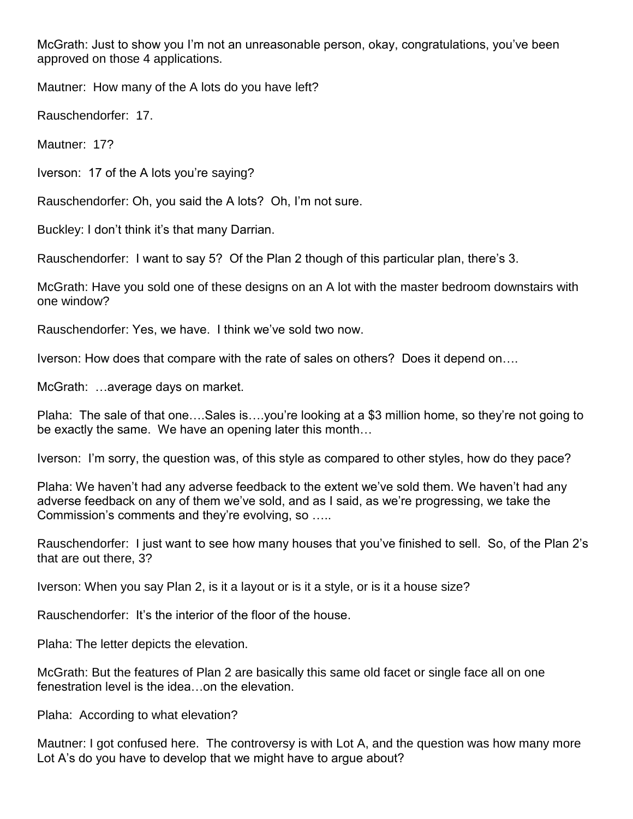McGrath: Just to show you I'm not an unreasonable person, okay, congratulations, you've been approved on those 4 applications.

Mautner: How many of the A lots do you have left?

Rauschendorfer: 17.

Mautner: 17?

Iverson: 17 of the A lots you're saying?

Rauschendorfer: Oh, you said the A lots? Oh, I'm not sure.

Buckley: I don't think it's that many Darrian.

Rauschendorfer: I want to say 5? Of the Plan 2 though of this particular plan, there's 3.

McGrath: Have you sold one of these designs on an A lot with the master bedroom downstairs with one window?

Rauschendorfer: Yes, we have. I think we've sold two now.

Iverson: How does that compare with the rate of sales on others? Does it depend on….

McGrath: …average days on market.

Plaha: The sale of that one….Sales is….you're looking at a \$3 million home, so they're not going to be exactly the same. We have an opening later this month…

Iverson: I'm sorry, the question was, of this style as compared to other styles, how do they pace?

Plaha: We haven't had any adverse feedback to the extent we've sold them. We haven't had any adverse feedback on any of them we've sold, and as I said, as we're progressing, we take the Commission's comments and they're evolving, so …..

Rauschendorfer: I just want to see how many houses that you've finished to sell. So, of the Plan 2's that are out there, 3?

Iverson: When you say Plan 2, is it a layout or is it a style, or is it a house size?

Rauschendorfer: It's the interior of the floor of the house.

Plaha: The letter depicts the elevation.

McGrath: But the features of Plan 2 are basically this same old facet or single face all on one fenestration level is the idea…on the elevation.

Plaha: According to what elevation?

Mautner: I got confused here. The controversy is with Lot A, and the question was how many more Lot A's do you have to develop that we might have to argue about?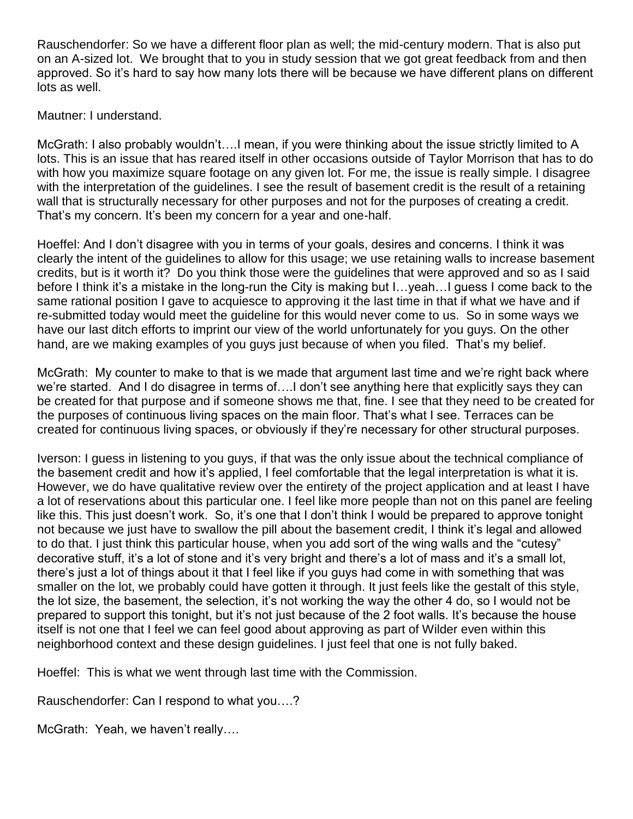Rauschendorfer: So we have a different floor plan as well; the mid-century modern. That is also put on an A-sized lot. We brought that to you in study session that we got great feedback from and then approved. So it's hard to say how many lots there will be because we have different plans on different lots as well.

#### Mautner: I understand.

McGrath: I also probably wouldn't….I mean, if you were thinking about the issue strictly limited to A lots. This is an issue that has reared itself in other occasions outside of Taylor Morrison that has to do with how you maximize square footage on any given lot. For me, the issue is really simple. I disagree with the interpretation of the guidelines. I see the result of basement credit is the result of a retaining wall that is structurally necessary for other purposes and not for the purposes of creating a credit. That's my concern. It's been my concern for a year and one-half.

Hoeffel: And I don't disagree with you in terms of your goals, desires and concerns. I think it was clearly the intent of the guidelines to allow for this usage; we use retaining walls to increase basement credits, but is it worth it? Do you think those were the guidelines that were approved and so as I said before I think it's a mistake in the long-run the City is making but I…yeah…I guess I come back to the same rational position I gave to acquiesce to approving it the last time in that if what we have and if re-submitted today would meet the guideline for this would never come to us. So in some ways we have our last ditch efforts to imprint our view of the world unfortunately for you guys. On the other hand, are we making examples of you guys just because of when you filed. That's my belief.

McGrath: My counter to make to that is we made that argument last time and we're right back where we're started. And I do disagree in terms of….I don't see anything here that explicitly says they can be created for that purpose and if someone shows me that, fine. I see that they need to be created for the purposes of continuous living spaces on the main floor. That's what I see. Terraces can be created for continuous living spaces, or obviously if they're necessary for other structural purposes.

Iverson: I guess in listening to you guys, if that was the only issue about the technical compliance of the basement credit and how it's applied, I feel comfortable that the legal interpretation is what it is. However, we do have qualitative review over the entirety of the project application and at least I have a lot of reservations about this particular one. I feel like more people than not on this panel are feeling like this. This just doesn't work. So, it's one that I don't think I would be prepared to approve tonight not because we just have to swallow the pill about the basement credit, I think it's legal and allowed to do that. I just think this particular house, when you add sort of the wing walls and the "cutesy" decorative stuff, it's a lot of stone and it's very bright and there's a lot of mass and it's a small lot, there's just a lot of things about it that I feel like if you guys had come in with something that was smaller on the lot, we probably could have gotten it through. It just feels like the gestalt of this style, the lot size, the basement, the selection, it's not working the way the other 4 do, so I would not be prepared to support this tonight, but it's not just because of the 2 foot walls. It's because the house itself is not one that I feel we can feel good about approving as part of Wilder even within this neighborhood context and these design guidelines. I just feel that one is not fully baked.

Hoeffel: This is what we went through last time with the Commission.

Rauschendorfer: Can I respond to what you….?

McGrath: Yeah, we haven't really….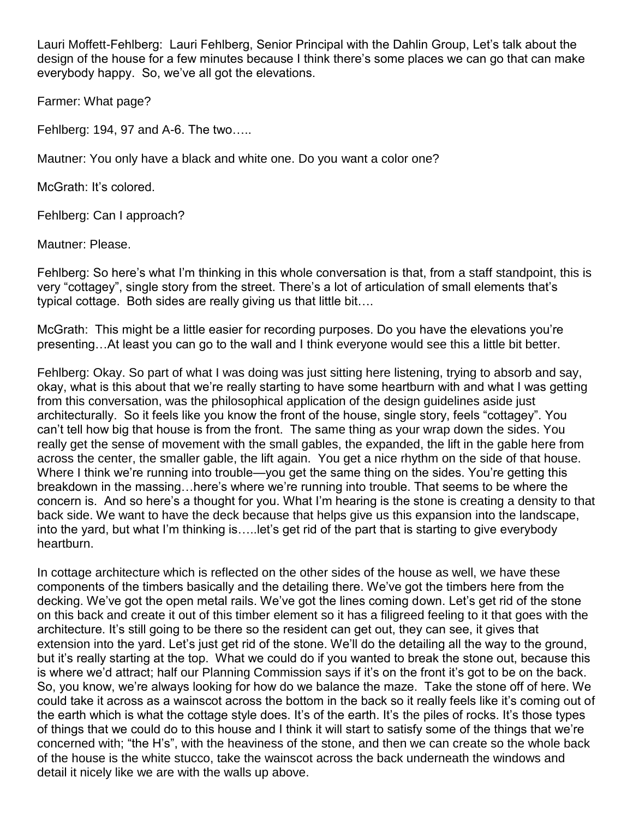Lauri Moffett-Fehlberg: Lauri Fehlberg, Senior Principal with the Dahlin Group, Let's talk about the design of the house for a few minutes because I think there's some places we can go that can make everybody happy. So, we've all got the elevations.

Farmer: What page?

Fehlberg: 194, 97 and A-6. The two…..

Mautner: You only have a black and white one. Do you want a color one?

McGrath: It's colored.

Fehlberg: Can I approach?

Mautner: Please.

Fehlberg: So here's what I'm thinking in this whole conversation is that, from a staff standpoint, this is very "cottagey", single story from the street. There's a lot of articulation of small elements that's typical cottage. Both sides are really giving us that little bit….

McGrath: This might be a little easier for recording purposes. Do you have the elevations you're presenting…At least you can go to the wall and I think everyone would see this a little bit better.

Fehlberg: Okay. So part of what I was doing was just sitting here listening, trying to absorb and say, okay, what is this about that we're really starting to have some heartburn with and what I was getting from this conversation, was the philosophical application of the design guidelines aside just architecturally. So it feels like you know the front of the house, single story, feels "cottagey". You can't tell how big that house is from the front. The same thing as your wrap down the sides. You really get the sense of movement with the small gables, the expanded, the lift in the gable here from across the center, the smaller gable, the lift again. You get a nice rhythm on the side of that house. Where I think we're running into trouble—you get the same thing on the sides. You're getting this breakdown in the massing…here's where we're running into trouble. That seems to be where the concern is. And so here's a thought for you. What I'm hearing is the stone is creating a density to that back side. We want to have the deck because that helps give us this expansion into the landscape, into the yard, but what I'm thinking is…..let's get rid of the part that is starting to give everybody heartburn.

In cottage architecture which is reflected on the other sides of the house as well, we have these components of the timbers basically and the detailing there. We've got the timbers here from the decking. We've got the open metal rails. We've got the lines coming down. Let's get rid of the stone on this back and create it out of this timber element so it has a filigreed feeling to it that goes with the architecture. It's still going to be there so the resident can get out, they can see, it gives that extension into the yard. Let's just get rid of the stone. We'll do the detailing all the way to the ground, but it's really starting at the top. What we could do if you wanted to break the stone out, because this is where we'd attract; half our Planning Commission says if it's on the front it's got to be on the back. So, you know, we're always looking for how do we balance the maze. Take the stone off of here. We could take it across as a wainscot across the bottom in the back so it really feels like it's coming out of the earth which is what the cottage style does. It's of the earth. It's the piles of rocks. It's those types of things that we could do to this house and I think it will start to satisfy some of the things that we're concerned with; "the H's", with the heaviness of the stone, and then we can create so the whole back of the house is the white stucco, take the wainscot across the back underneath the windows and detail it nicely like we are with the walls up above.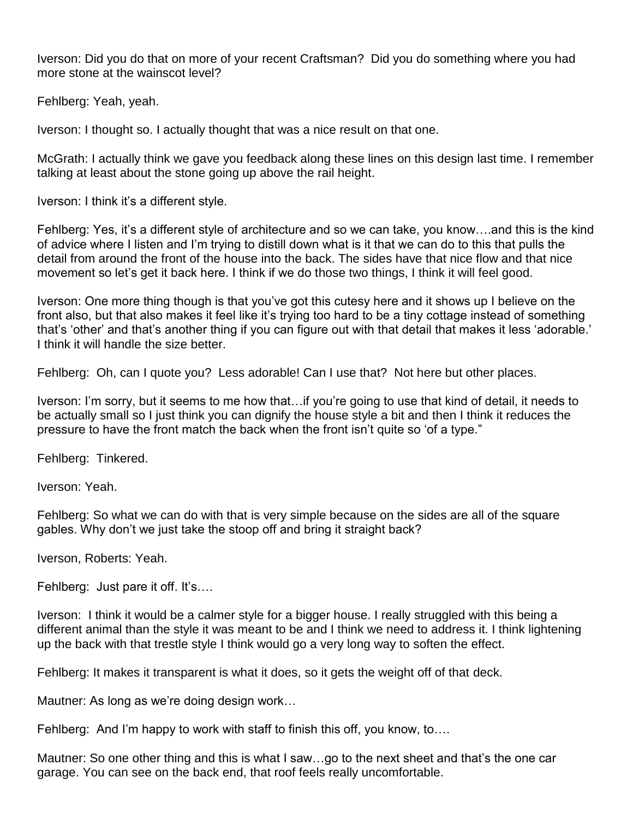Iverson: Did you do that on more of your recent Craftsman? Did you do something where you had more stone at the wainscot level?

Fehlberg: Yeah, yeah.

Iverson: I thought so. I actually thought that was a nice result on that one.

McGrath: I actually think we gave you feedback along these lines on this design last time. I remember talking at least about the stone going up above the rail height.

Iverson: I think it's a different style.

Fehlberg: Yes, it's a different style of architecture and so we can take, you know….and this is the kind of advice where I listen and I'm trying to distill down what is it that we can do to this that pulls the detail from around the front of the house into the back. The sides have that nice flow and that nice movement so let's get it back here. I think if we do those two things, I think it will feel good.

Iverson: One more thing though is that you've got this cutesy here and it shows up I believe on the front also, but that also makes it feel like it's trying too hard to be a tiny cottage instead of something that's 'other' and that's another thing if you can figure out with that detail that makes it less 'adorable.' I think it will handle the size better.

Fehlberg: Oh, can I quote you? Less adorable! Can I use that? Not here but other places.

Iverson: I'm sorry, but it seems to me how that…if you're going to use that kind of detail, it needs to be actually small so I just think you can dignify the house style a bit and then I think it reduces the pressure to have the front match the back when the front isn't quite so 'of a type."

Fehlberg: Tinkered.

Iverson: Yeah.

Fehlberg: So what we can do with that is very simple because on the sides are all of the square gables. Why don't we just take the stoop off and bring it straight back?

Iverson, Roberts: Yeah.

Fehlberg: Just pare it off. It's….

Iverson: I think it would be a calmer style for a bigger house. I really struggled with this being a different animal than the style it was meant to be and I think we need to address it. I think lightening up the back with that trestle style I think would go a very long way to soften the effect.

Fehlberg: It makes it transparent is what it does, so it gets the weight off of that deck.

Mautner: As long as we're doing design work…

Fehlberg: And I'm happy to work with staff to finish this off, you know, to….

Mautner: So one other thing and this is what I saw…go to the next sheet and that's the one car garage. You can see on the back end, that roof feels really uncomfortable.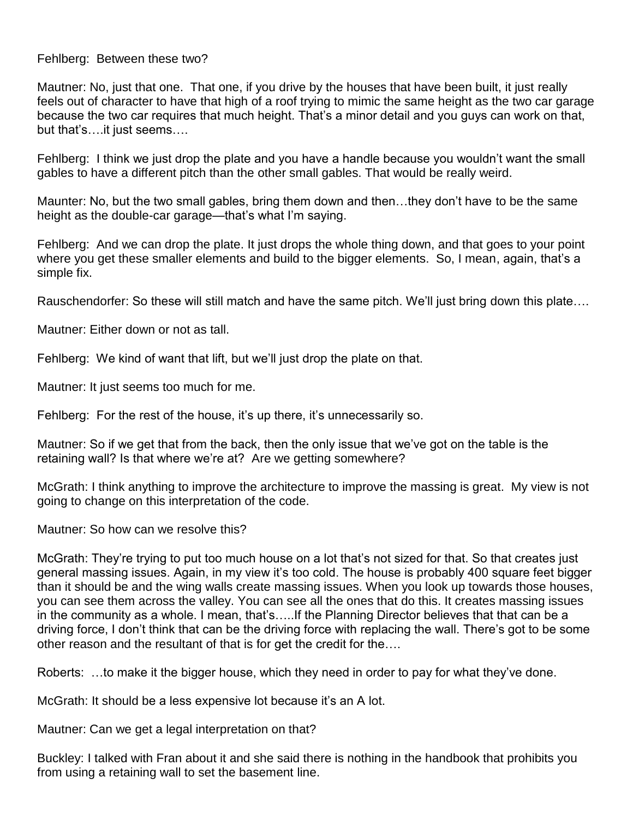Fehlberg: Between these two?

Mautner: No, just that one. That one, if you drive by the houses that have been built, it just really feels out of character to have that high of a roof trying to mimic the same height as the two car garage because the two car requires that much height. That's a minor detail and you guys can work on that, but that's….it just seems….

Fehlberg: I think we just drop the plate and you have a handle because you wouldn't want the small gables to have a different pitch than the other small gables. That would be really weird.

Maunter: No, but the two small gables, bring them down and then…they don't have to be the same height as the double-car garage—that's what I'm saying.

Fehlberg: And we can drop the plate. It just drops the whole thing down, and that goes to your point where you get these smaller elements and build to the bigger elements. So, I mean, again, that's a simple fix.

Rauschendorfer: So these will still match and have the same pitch. We'll just bring down this plate….

Mautner: Either down or not as tall.

Fehlberg: We kind of want that lift, but we'll just drop the plate on that.

Mautner: It just seems too much for me.

Fehlberg: For the rest of the house, it's up there, it's unnecessarily so.

Mautner: So if we get that from the back, then the only issue that we've got on the table is the retaining wall? Is that where we're at? Are we getting somewhere?

McGrath: I think anything to improve the architecture to improve the massing is great. My view is not going to change on this interpretation of the code.

Mautner: So how can we resolve this?

McGrath: They're trying to put too much house on a lot that's not sized for that. So that creates just general massing issues. Again, in my view it's too cold. The house is probably 400 square feet bigger than it should be and the wing walls create massing issues. When you look up towards those houses, you can see them across the valley. You can see all the ones that do this. It creates massing issues in the community as a whole. I mean, that's…..If the Planning Director believes that that can be a driving force, I don't think that can be the driving force with replacing the wall. There's got to be some other reason and the resultant of that is for get the credit for the….

Roberts: …to make it the bigger house, which they need in order to pay for what they've done.

McGrath: It should be a less expensive lot because it's an A lot.

Mautner: Can we get a legal interpretation on that?

Buckley: I talked with Fran about it and she said there is nothing in the handbook that prohibits you from using a retaining wall to set the basement line.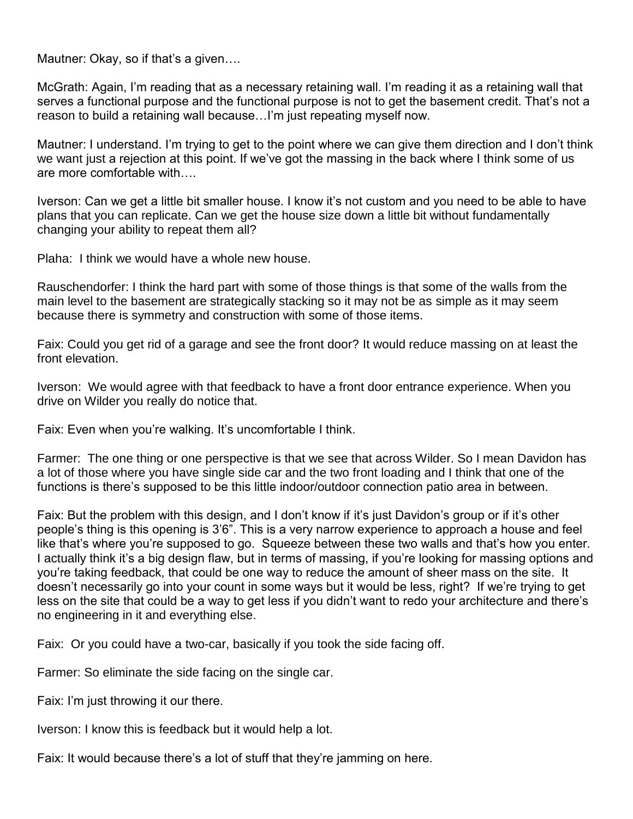Mautner: Okay, so if that's a given….

McGrath: Again, I'm reading that as a necessary retaining wall. I'm reading it as a retaining wall that serves a functional purpose and the functional purpose is not to get the basement credit. That's not a reason to build a retaining wall because…I'm just repeating myself now.

Mautner: I understand. I'm trying to get to the point where we can give them direction and I don't think we want just a rejection at this point. If we've got the massing in the back where I think some of us are more comfortable with

Iverson: Can we get a little bit smaller house. I know it's not custom and you need to be able to have plans that you can replicate. Can we get the house size down a little bit without fundamentally changing your ability to repeat them all?

Plaha: I think we would have a whole new house.

Rauschendorfer: I think the hard part with some of those things is that some of the walls from the main level to the basement are strategically stacking so it may not be as simple as it may seem because there is symmetry and construction with some of those items.

Faix: Could you get rid of a garage and see the front door? It would reduce massing on at least the front elevation.

Iverson: We would agree with that feedback to have a front door entrance experience. When you drive on Wilder you really do notice that.

Faix: Even when you're walking. It's uncomfortable I think.

Farmer: The one thing or one perspective is that we see that across Wilder. So I mean Davidon has a lot of those where you have single side car and the two front loading and I think that one of the functions is there's supposed to be this little indoor/outdoor connection patio area in between.

Faix: But the problem with this design, and I don't know if it's just Davidon's group or if it's other people's thing is this opening is 3'6". This is a very narrow experience to approach a house and feel like that's where you're supposed to go. Squeeze between these two walls and that's how you enter. I actually think it's a big design flaw, but in terms of massing, if you're looking for massing options and you're taking feedback, that could be one way to reduce the amount of sheer mass on the site. It doesn't necessarily go into your count in some ways but it would be less, right? If we're trying to get less on the site that could be a way to get less if you didn't want to redo your architecture and there's no engineering in it and everything else.

Faix: Or you could have a two-car, basically if you took the side facing off.

Farmer: So eliminate the side facing on the single car.

Faix: I'm just throwing it our there.

Iverson: I know this is feedback but it would help a lot.

Faix: It would because there's a lot of stuff that they're jamming on here.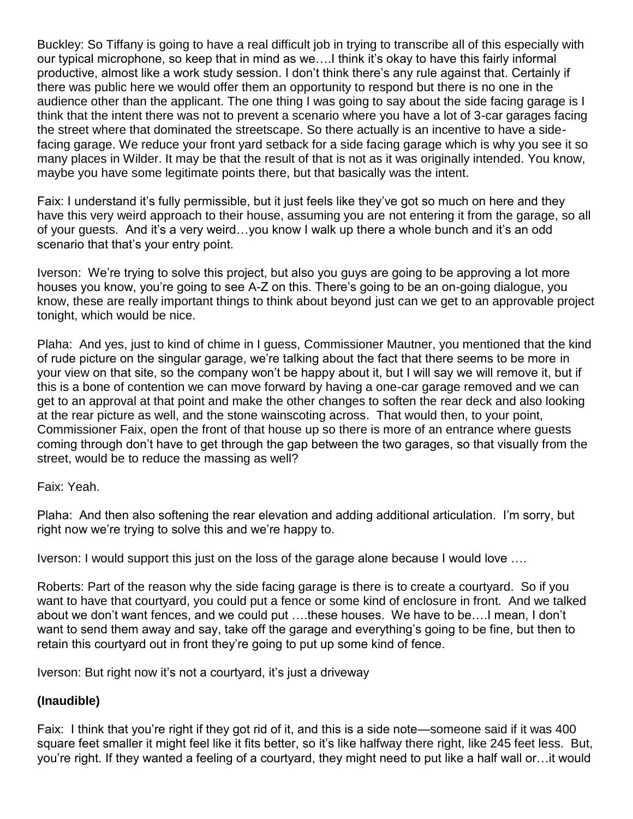Buckley: So Tiffany is going to have a real difficult job in trying to transcribe all of this especially with our typical microphone, so keep that in mind as we….I think it's okay to have this fairly informal productive, almost like a work study session. I don't think there's any rule against that. Certainly if there was public here we would offer them an opportunity to respond but there is no one in the audience other than the applicant. The one thing I was going to say about the side facing garage is I think that the intent there was not to prevent a scenario where you have a lot of 3-car garages facing the street where that dominated the streetscape. So there actually is an incentive to have a sidefacing garage. We reduce your front yard setback for a side facing garage which is why you see it so many places in Wilder. It may be that the result of that is not as it was originally intended. You know, maybe you have some legitimate points there, but that basically was the intent.

Faix: I understand it's fully permissible, but it just feels like they've got so much on here and they have this very weird approach to their house, assuming you are not entering it from the garage, so all of your guests. And it's a very weird…you know I walk up there a whole bunch and it's an odd scenario that that's your entry point.

Iverson: We're trying to solve this project, but also you guys are going to be approving a lot more houses you know, you're going to see A-Z on this. There's going to be an on-going dialogue, you know, these are really important things to think about beyond just can we get to an approvable project tonight, which would be nice.

Plaha: And yes, just to kind of chime in I guess, Commissioner Mautner, you mentioned that the kind of rude picture on the singular garage, we're talking about the fact that there seems to be more in your view on that site, so the company won't be happy about it, but I will say we will remove it, but if this is a bone of contention we can move forward by having a one-car garage removed and we can get to an approval at that point and make the other changes to soften the rear deck and also looking at the rear picture as well, and the stone wainscoting across. That would then, to your point, Commissioner Faix, open the front of that house up so there is more of an entrance where guests coming through don't have to get through the gap between the two garages, so that visually from the street, would be to reduce the massing as well?

Faix: Yeah.

Plaha: And then also softening the rear elevation and adding additional articulation. I'm sorry, but right now we're trying to solve this and we're happy to.

Iverson: I would support this just on the loss of the garage alone because I would love ….

Roberts: Part of the reason why the side facing garage is there is to create a courtyard. So if you want to have that courtyard, you could put a fence or some kind of enclosure in front. And we talked about we don't want fences, and we could put ….these houses. We have to be….I mean, I don't want to send them away and say, take off the garage and everything's going to be fine, but then to retain this courtyard out in front they're going to put up some kind of fence.

Iverson: But right now it's not a courtyard, it's just a driveway

#### **(Inaudible)**

Faix: I think that you're right if they got rid of it, and this is a side note—someone said if it was 400 square feet smaller it might feel like it fits better, so it's like halfway there right, like 245 feet less. But, you're right. If they wanted a feeling of a courtyard, they might need to put like a half wall or…it would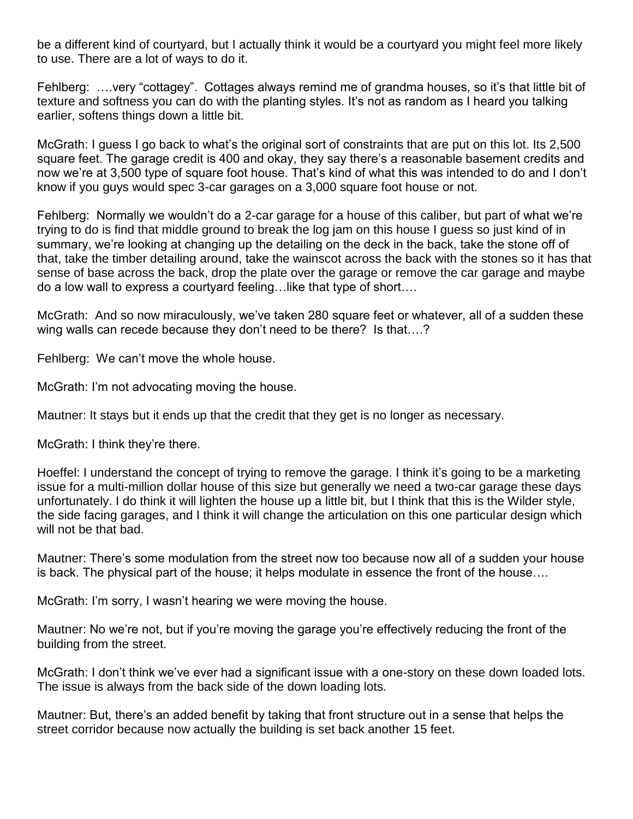be a different kind of courtyard, but I actually think it would be a courtyard you might feel more likely to use. There are a lot of ways to do it.

Fehlberg: ….very "cottagey". Cottages always remind me of grandma houses, so it's that little bit of texture and softness you can do with the planting styles. It's not as random as I heard you talking earlier, softens things down a little bit.

McGrath: I guess I go back to what's the original sort of constraints that are put on this lot. Its 2,500 square feet. The garage credit is 400 and okay, they say there's a reasonable basement credits and now we're at 3,500 type of square foot house. That's kind of what this was intended to do and I don't know if you guys would spec 3-car garages on a 3,000 square foot house or not.

Fehlberg: Normally we wouldn't do a 2-car garage for a house of this caliber, but part of what we're trying to do is find that middle ground to break the log jam on this house I guess so just kind of in summary, we're looking at changing up the detailing on the deck in the back, take the stone off of that, take the timber detailing around, take the wainscot across the back with the stones so it has that sense of base across the back, drop the plate over the garage or remove the car garage and maybe do a low wall to express a courtyard feeling…like that type of short….

McGrath: And so now miraculously, we've taken 280 square feet or whatever, all of a sudden these wing walls can recede because they don't need to be there? Is that....?

Fehlberg: We can't move the whole house.

McGrath: I'm not advocating moving the house.

Mautner: It stays but it ends up that the credit that they get is no longer as necessary.

McGrath: I think they're there.

Hoeffel: I understand the concept of trying to remove the garage. I think it's going to be a marketing issue for a multi-million dollar house of this size but generally we need a two-car garage these days unfortunately. I do think it will lighten the house up a little bit, but I think that this is the Wilder style, the side facing garages, and I think it will change the articulation on this one particular design which will not be that bad.

Mautner: There's some modulation from the street now too because now all of a sudden your house is back. The physical part of the house; it helps modulate in essence the front of the house….

McGrath: I'm sorry, I wasn't hearing we were moving the house.

Mautner: No we're not, but if you're moving the garage you're effectively reducing the front of the building from the street.

McGrath: I don't think we've ever had a significant issue with a one-story on these down loaded lots. The issue is always from the back side of the down loading lots.

Mautner: But, there's an added benefit by taking that front structure out in a sense that helps the street corridor because now actually the building is set back another 15 feet.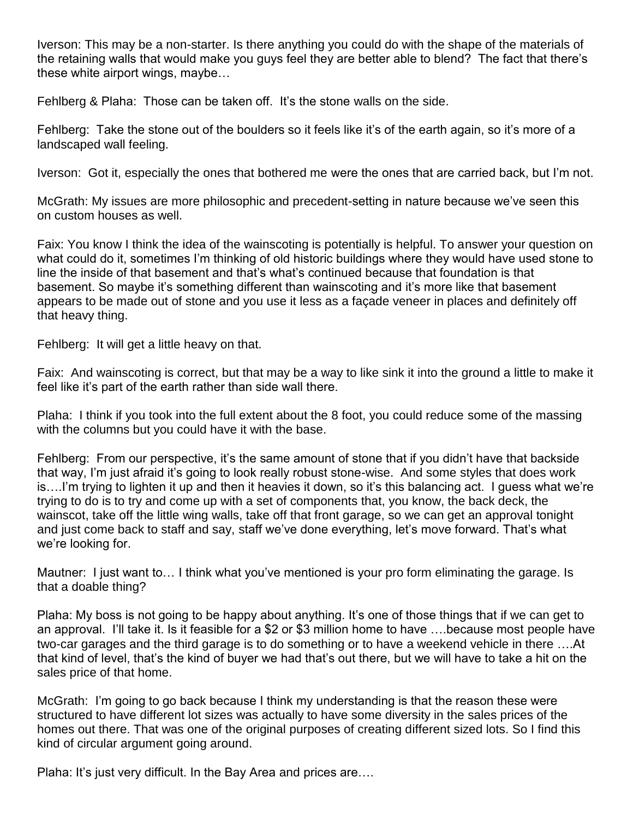Iverson: This may be a non-starter. Is there anything you could do with the shape of the materials of the retaining walls that would make you guys feel they are better able to blend? The fact that there's these white airport wings, maybe…

Fehlberg & Plaha: Those can be taken off. It's the stone walls on the side.

Fehlberg: Take the stone out of the boulders so it feels like it's of the earth again, so it's more of a landscaped wall feeling.

Iverson: Got it, especially the ones that bothered me were the ones that are carried back, but I'm not.

McGrath: My issues are more philosophic and precedent-setting in nature because we've seen this on custom houses as well.

Faix: You know I think the idea of the wainscoting is potentially is helpful. To answer your question on what could do it, sometimes I'm thinking of old historic buildings where they would have used stone to line the inside of that basement and that's what's continued because that foundation is that basement. So maybe it's something different than wainscoting and it's more like that basement appears to be made out of stone and you use it less as a façade veneer in places and definitely off that heavy thing.

Fehlberg: It will get a little heavy on that.

Faix: And wainscoting is correct, but that may be a way to like sink it into the ground a little to make it feel like it's part of the earth rather than side wall there.

Plaha: I think if you took into the full extent about the 8 foot, you could reduce some of the massing with the columns but you could have it with the base.

Fehlberg: From our perspective, it's the same amount of stone that if you didn't have that backside that way, I'm just afraid it's going to look really robust stone-wise. And some styles that does work is….I'm trying to lighten it up and then it heavies it down, so it's this balancing act. I guess what we're trying to do is to try and come up with a set of components that, you know, the back deck, the wainscot, take off the little wing walls, take off that front garage, so we can get an approval tonight and just come back to staff and say, staff we've done everything, let's move forward. That's what we're looking for.

Mautner: I just want to… I think what you've mentioned is your pro form eliminating the garage. Is that a doable thing?

Plaha: My boss is not going to be happy about anything. It's one of those things that if we can get to an approval. I'll take it. Is it feasible for a \$2 or \$3 million home to have ….because most people have two-car garages and the third garage is to do something or to have a weekend vehicle in there ….At that kind of level, that's the kind of buyer we had that's out there, but we will have to take a hit on the sales price of that home.

McGrath: I'm going to go back because I think my understanding is that the reason these were structured to have different lot sizes was actually to have some diversity in the sales prices of the homes out there. That was one of the original purposes of creating different sized lots. So I find this kind of circular argument going around.

Plaha: It's just very difficult. In the Bay Area and prices are….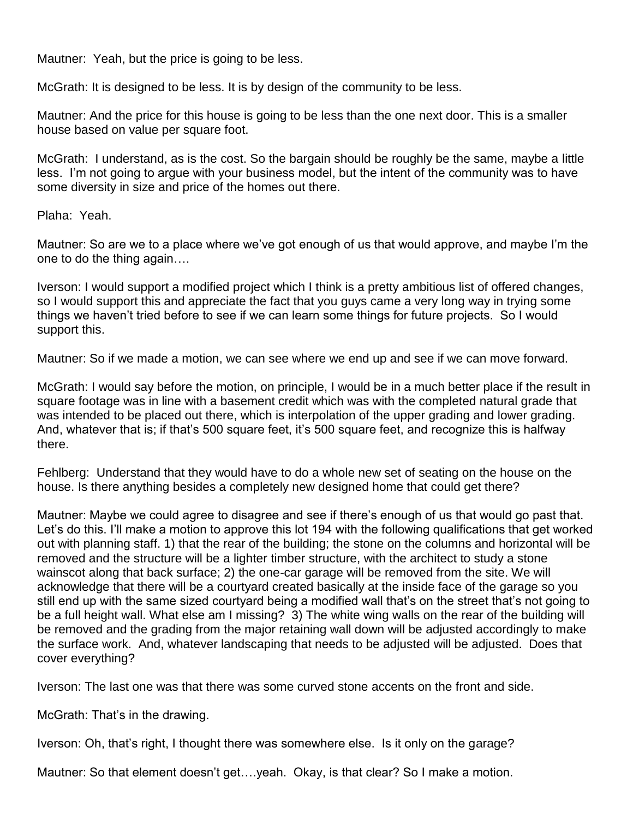Mautner: Yeah, but the price is going to be less.

McGrath: It is designed to be less. It is by design of the community to be less.

Mautner: And the price for this house is going to be less than the one next door. This is a smaller house based on value per square foot.

McGrath: I understand, as is the cost. So the bargain should be roughly be the same, maybe a little less. I'm not going to argue with your business model, but the intent of the community was to have some diversity in size and price of the homes out there.

Plaha: Yeah.

Mautner: So are we to a place where we've got enough of us that would approve, and maybe I'm the one to do the thing again….

Iverson: I would support a modified project which I think is a pretty ambitious list of offered changes, so I would support this and appreciate the fact that you guys came a very long way in trying some things we haven't tried before to see if we can learn some things for future projects. So I would support this.

Mautner: So if we made a motion, we can see where we end up and see if we can move forward.

McGrath: I would say before the motion, on principle, I would be in a much better place if the result in square footage was in line with a basement credit which was with the completed natural grade that was intended to be placed out there, which is interpolation of the upper grading and lower grading. And, whatever that is; if that's 500 square feet, it's 500 square feet, and recognize this is halfway there.

Fehlberg: Understand that they would have to do a whole new set of seating on the house on the house. Is there anything besides a completely new designed home that could get there?

Mautner: Maybe we could agree to disagree and see if there's enough of us that would go past that. Let's do this. I'll make a motion to approve this lot 194 with the following qualifications that get worked out with planning staff. 1) that the rear of the building; the stone on the columns and horizontal will be removed and the structure will be a lighter timber structure, with the architect to study a stone wainscot along that back surface; 2) the one-car garage will be removed from the site. We will acknowledge that there will be a courtyard created basically at the inside face of the garage so you still end up with the same sized courtyard being a modified wall that's on the street that's not going to be a full height wall. What else am I missing? 3) The white wing walls on the rear of the building will be removed and the grading from the major retaining wall down will be adjusted accordingly to make the surface work. And, whatever landscaping that needs to be adjusted will be adjusted. Does that cover everything?

Iverson: The last one was that there was some curved stone accents on the front and side.

McGrath: That's in the drawing.

Iverson: Oh, that's right, I thought there was somewhere else. Is it only on the garage?

Mautner: So that element doesn't get….yeah. Okay, is that clear? So I make a motion.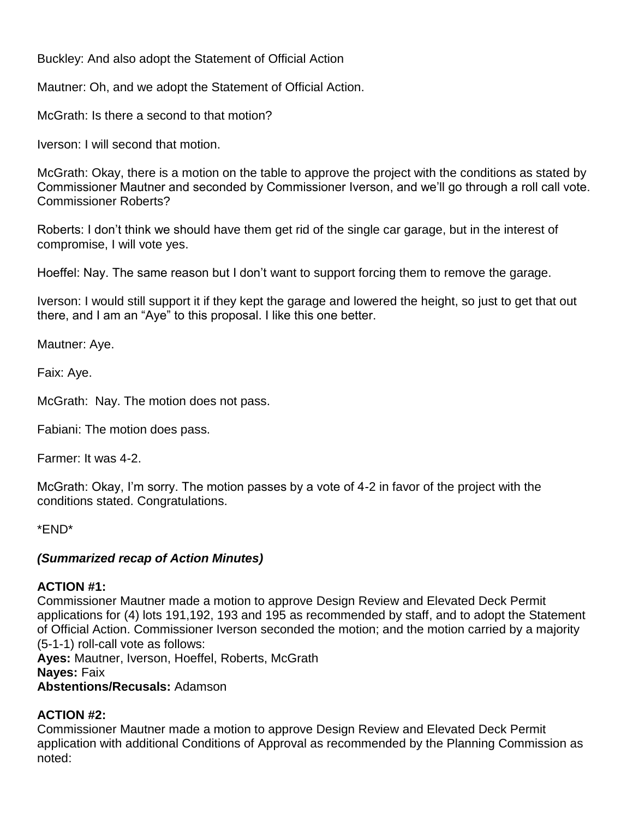Buckley: And also adopt the Statement of Official Action

Mautner: Oh, and we adopt the Statement of Official Action.

McGrath: Is there a second to that motion?

Iverson: I will second that motion.

McGrath: Okay, there is a motion on the table to approve the project with the conditions as stated by Commissioner Mautner and seconded by Commissioner Iverson, and we'll go through a roll call vote. Commissioner Roberts?

Roberts: I don't think we should have them get rid of the single car garage, but in the interest of compromise, I will vote yes.

Hoeffel: Nay. The same reason but I don't want to support forcing them to remove the garage.

Iverson: I would still support it if they kept the garage and lowered the height, so just to get that out there, and I am an "Aye" to this proposal. I like this one better.

Mautner: Aye.

Faix: Aye.

McGrath: Nay. The motion does not pass.

Fabiani: The motion does pass.

Farmer: It was 4-2.

McGrath: Okay, I'm sorry. The motion passes by a vote of 4-2 in favor of the project with the conditions stated. Congratulations.

\*END\*

#### *(Summarized recap of Action Minutes)*

#### **ACTION #1:**

Commissioner Mautner made a motion to approve Design Review and Elevated Deck Permit applications for (4) lots 191,192, 193 and 195 as recommended by staff, and to adopt the Statement of Official Action. Commissioner Iverson seconded the motion; and the motion carried by a majority (5-1-1) roll-call vote as follows: **Ayes:** Mautner, Iverson, Hoeffel, Roberts, McGrath **Nayes:** Faix

**Abstentions/Recusals:** Adamson

#### **ACTION #2:**

Commissioner Mautner made a motion to approve Design Review and Elevated Deck Permit application with additional Conditions of Approval as recommended by the Planning Commission as noted: